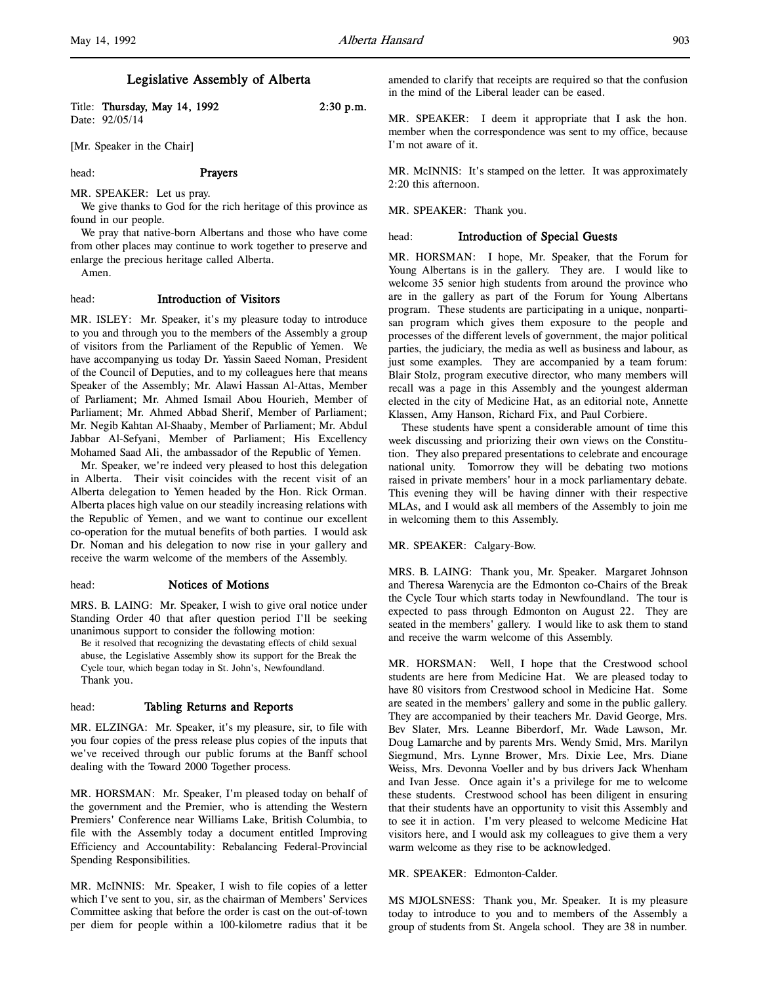# Legislative Assembly of Alberta

Title: Thursday, May 14, 1992 2:30 p.m. Date: 92/05/14

[Mr. Speaker in the Chair]

#### head: Prayers

MR. SPEAKER: Let us pray.

We give thanks to God for the rich heritage of this province as found in our people.

We pray that native-born Albertans and those who have come from other places may continue to work together to preserve and enlarge the precious heritage called Alberta.

Amen.

# head: Introduction of Visitors

MR. ISLEY: Mr. Speaker, it's my pleasure today to introduce to you and through you to the members of the Assembly a group of visitors from the Parliament of the Republic of Yemen. We have accompanying us today Dr. Yassin Saeed Noman, President of the Council of Deputies, and to my colleagues here that means Speaker of the Assembly; Mr. Alawi Hassan Al-Attas, Member of Parliament; Mr. Ahmed Ismail Abou Hourieh, Member of Parliament; Mr. Ahmed Abbad Sherif, Member of Parliament; Mr. Negib Kahtan Al-Shaaby, Member of Parliament; Mr. Abdul Jabbar Al-Sefyani, Member of Parliament; His Excellency Mohamed Saad Ali, the ambassador of the Republic of Yemen.

Mr. Speaker, we're indeed very pleased to host this delegation in Alberta. Their visit coincides with the recent visit of an Alberta delegation to Yemen headed by the Hon. Rick Orman. Alberta places high value on our steadily increasing relations with the Republic of Yemen, and we want to continue our excellent co-operation for the mutual benefits of both parties. I would ask Dr. Noman and his delegation to now rise in your gallery and receive the warm welcome of the members of the Assembly.

#### head: Notices of Motions

MRS. B. LAING: Mr. Speaker, I wish to give oral notice under Standing Order 40 that after question period I'll be seeking unanimous support to consider the following motion:

Be it resolved that recognizing the devastating effects of child sexual abuse, the Legislative Assembly show its support for the Break the Cycle tour, which began today in St. John's, Newfoundland. Thank you.

# head: Tabling Returns and Reports

MR. ELZINGA: Mr. Speaker, it's my pleasure, sir, to file with you four copies of the press release plus copies of the inputs that we've received through our public forums at the Banff school dealing with the Toward 2000 Together process.

MR. HORSMAN: Mr. Speaker, I'm pleased today on behalf of the government and the Premier, who is attending the Western Premiers' Conference near Williams Lake, British Columbia, to file with the Assembly today a document entitled Improving Efficiency and Accountability: Rebalancing Federal-Provincial Spending Responsibilities.

MR. McINNIS: Mr. Speaker, I wish to file copies of a letter which I've sent to you, sir, as the chairman of Members' Services Committee asking that before the order is cast on the out-of-town per diem for people within a 100-kilometre radius that it be

amended to clarify that receipts are required so that the confusion in the mind of the Liberal leader can be eased.

MR. SPEAKER: I deem it appropriate that I ask the hon. member when the correspondence was sent to my office, because I'm not aware of it.

MR. McINNIS: It's stamped on the letter. It was approximately 2:20 this afternoon.

MR. SPEAKER: Thank you.

### head: Introduction of Special Guests

MR. HORSMAN: I hope, Mr. Speaker, that the Forum for Young Albertans is in the gallery. They are. I would like to welcome 35 senior high students from around the province who are in the gallery as part of the Forum for Young Albertans program. These students are participating in a unique, nonpartisan program which gives them exposure to the people and processes of the different levels of government, the major political parties, the judiciary, the media as well as business and labour, as just some examples. They are accompanied by a team forum: Blair Stolz, program executive director, who many members will recall was a page in this Assembly and the youngest alderman elected in the city of Medicine Hat, as an editorial note, Annette Klassen, Amy Hanson, Richard Fix, and Paul Corbiere.

These students have spent a considerable amount of time this week discussing and priorizing their own views on the Constitution. They also prepared presentations to celebrate and encourage national unity. Tomorrow they will be debating two motions raised in private members' hour in a mock parliamentary debate. This evening they will be having dinner with their respective MLAs, and I would ask all members of the Assembly to join me in welcoming them to this Assembly.

MR. SPEAKER: Calgary-Bow.

MRS. B. LAING: Thank you, Mr. Speaker. Margaret Johnson and Theresa Warenycia are the Edmonton co-Chairs of the Break the Cycle Tour which starts today in Newfoundland. The tour is expected to pass through Edmonton on August 22. They are seated in the members' gallery. I would like to ask them to stand and receive the warm welcome of this Assembly.

MR. HORSMAN: Well, I hope that the Crestwood school students are here from Medicine Hat. We are pleased today to have 80 visitors from Crestwood school in Medicine Hat. Some are seated in the members' gallery and some in the public gallery. They are accompanied by their teachers Mr. David George, Mrs. Bev Slater, Mrs. Leanne Biberdorf, Mr. Wade Lawson, Mr. Doug Lamarche and by parents Mrs. Wendy Smid, Mrs. Marilyn Siegmund, Mrs. Lynne Brower, Mrs. Dixie Lee, Mrs. Diane Weiss, Mrs. Devonna Voeller and by bus drivers Jack Whenham and Ivan Jesse. Once again it's a privilege for me to welcome these students. Crestwood school has been diligent in ensuring that their students have an opportunity to visit this Assembly and to see it in action. I'm very pleased to welcome Medicine Hat visitors here, and I would ask my colleagues to give them a very warm welcome as they rise to be acknowledged.

### MR. SPEAKER: Edmonton-Calder.

MS MJOLSNESS: Thank you, Mr. Speaker. It is my pleasure today to introduce to you and to members of the Assembly a group of students from St. Angela school. They are 38 in number.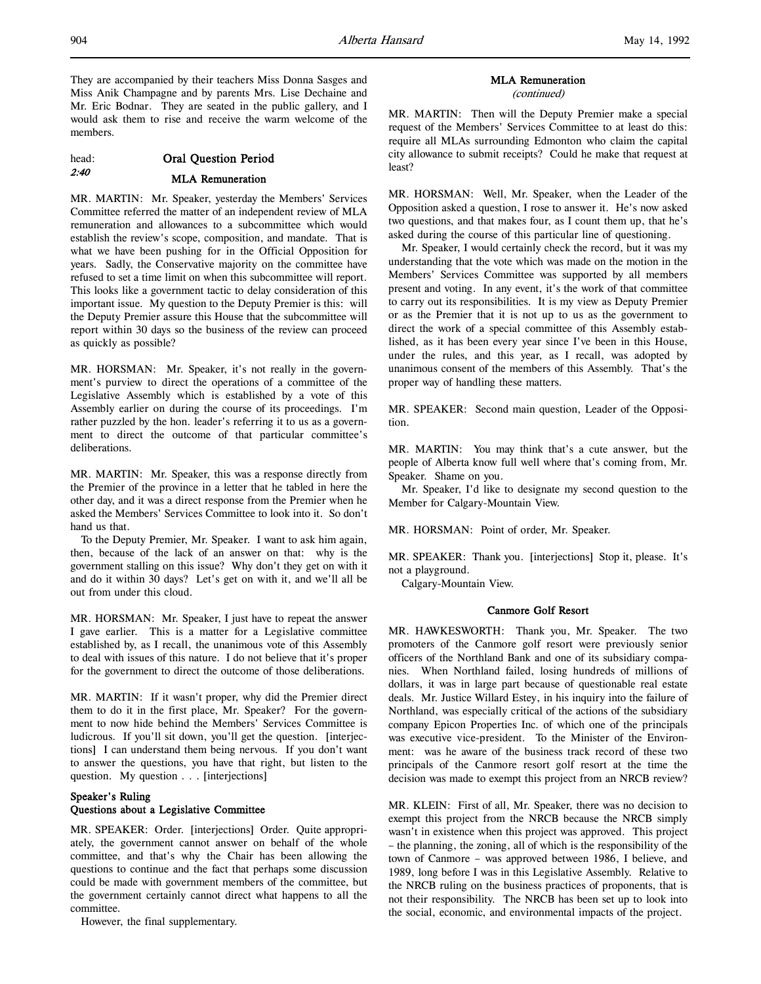They are accompanied by their teachers Miss Donna Sasges and Miss Anik Champagne and by parents Mrs. Lise Dechaine and Mr. Eric Bodnar. They are seated in the public gallery, and I would ask them to rise and receive the warm welcome of the members.

# head: Oral Question Period 2:40 MLA Remuneration

MR. MARTIN: Mr. Speaker, yesterday the Members' Services Committee referred the matter of an independent review of MLA remuneration and allowances to a subcommittee which would establish the review's scope, composition, and mandate. That is what we have been pushing for in the Official Opposition for years. Sadly, the Conservative majority on the committee have refused to set a time limit on when this subcommittee will report. This looks like a government tactic to delay consideration of this important issue. My question to the Deputy Premier is this: will the Deputy Premier assure this House that the subcommittee will report within 30 days so the business of the review can proceed as quickly as possible?

MR. HORSMAN: Mr. Speaker, it's not really in the government's purview to direct the operations of a committee of the Legislative Assembly which is established by a vote of this Assembly earlier on during the course of its proceedings. I'm rather puzzled by the hon. leader's referring it to us as a government to direct the outcome of that particular committee's deliberations.

MR. MARTIN: Mr. Speaker, this was a response directly from the Premier of the province in a letter that he tabled in here the other day, and it was a direct response from the Premier when he asked the Members' Services Committee to look into it. So don't hand us that.

To the Deputy Premier, Mr. Speaker. I want to ask him again, then, because of the lack of an answer on that: why is the government stalling on this issue? Why don't they get on with it and do it within 30 days? Let's get on with it, and we'll all be out from under this cloud.

MR. HORSMAN: Mr. Speaker, I just have to repeat the answer I gave earlier. This is a matter for a Legislative committee established by, as I recall, the unanimous vote of this Assembly to deal with issues of this nature. I do not believe that it's proper for the government to direct the outcome of those deliberations.

MR. MARTIN: If it wasn't proper, why did the Premier direct them to do it in the first place, Mr. Speaker? For the government to now hide behind the Members' Services Committee is ludicrous. If you'll sit down, you'll get the question. [interjections] I can understand them being nervous. If you don't want to answer the questions, you have that right, but listen to the question. My question . . . [interjections]

# Speaker's Ruling Questions about a Legislative Committee

MR. SPEAKER: Order. [interjections] Order. Quite appropriately, the government cannot answer on behalf of the whole committee, and that's why the Chair has been allowing the questions to continue and the fact that perhaps some discussion could be made with government members of the committee, but the government certainly cannot direct what happens to all the committee.

However, the final supplementary.

# MLA Remuneration

(continued)

MR. MARTIN: Then will the Deputy Premier make a special request of the Members' Services Committee to at least do this: require all MLAs surrounding Edmonton who claim the capital city allowance to submit receipts? Could he make that request at least?

MR. HORSMAN: Well, Mr. Speaker, when the Leader of the Opposition asked a question, I rose to answer it. He's now asked two questions, and that makes four, as I count them up, that he's asked during the course of this particular line of questioning.

Mr. Speaker, I would certainly check the record, but it was my understanding that the vote which was made on the motion in the Members' Services Committee was supported by all members present and voting. In any event, it's the work of that committee to carry out its responsibilities. It is my view as Deputy Premier or as the Premier that it is not up to us as the government to direct the work of a special committee of this Assembly established, as it has been every year since I've been in this House, under the rules, and this year, as I recall, was adopted by unanimous consent of the members of this Assembly. That's the proper way of handling these matters.

MR. SPEAKER: Second main question, Leader of the Opposition.

MR. MARTIN: You may think that's a cute answer, but the people of Alberta know full well where that's coming from, Mr. Speaker. Shame on you.

Mr. Speaker, I'd like to designate my second question to the Member for Calgary-Mountain View.

MR. HORSMAN: Point of order, Mr. Speaker.

MR. SPEAKER: Thank you. [interjections] Stop it, please. It's not a playground.

Calgary-Mountain View.

# Canmore Golf Resort

MR. HAWKESWORTH: Thank you, Mr. Speaker. The two promoters of the Canmore golf resort were previously senior officers of the Northland Bank and one of its subsidiary companies. When Northland failed, losing hundreds of millions of dollars, it was in large part because of questionable real estate deals. Mr. Justice Willard Estey, in his inquiry into the failure of Northland, was especially critical of the actions of the subsidiary company Epicon Properties Inc. of which one of the principals was executive vice-president. To the Minister of the Environment: was he aware of the business track record of these two principals of the Canmore resort golf resort at the time the decision was made to exempt this project from an NRCB review?

MR. KLEIN: First of all, Mr. Speaker, there was no decision to exempt this project from the NRCB because the NRCB simply wasn't in existence when this project was approved. This project – the planning, the zoning, all of which is the responsibility of the town of Canmore – was approved between 1986, I believe, and 1989, long before I was in this Legislative Assembly. Relative to the NRCB ruling on the business practices of proponents, that is not their responsibility. The NRCB has been set up to look into the social, economic, and environmental impacts of the project.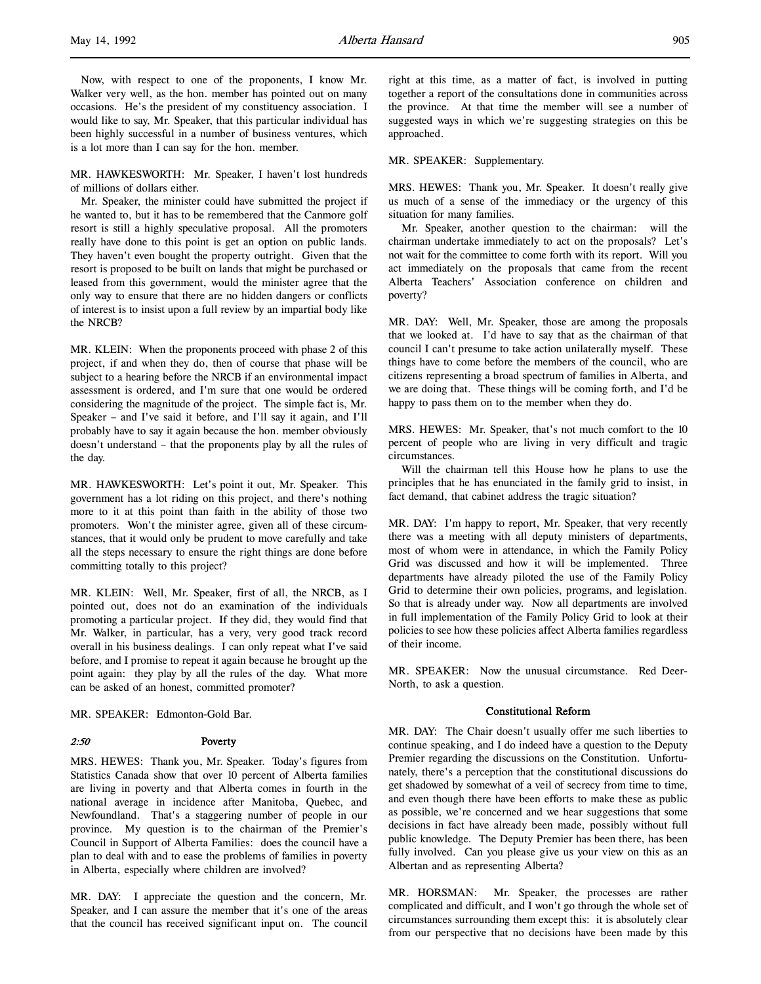l,

Now, with respect to one of the proponents, I know Mr. Walker very well, as the hon. member has pointed out on many occasions. He's the president of my constituency association. I would like to say, Mr. Speaker, that this particular individual has been highly successful in a number of business ventures, which is a lot more than I can say for the hon. member.

MR. HAWKESWORTH: Mr. Speaker, I haven't lost hundreds of millions of dollars either.

Mr. Speaker, the minister could have submitted the project if he wanted to, but it has to be remembered that the Canmore golf resort is still a highly speculative proposal. All the promoters really have done to this point is get an option on public lands. They haven't even bought the property outright. Given that the resort is proposed to be built on lands that might be purchased or leased from this government, would the minister agree that the only way to ensure that there are no hidden dangers or conflicts of interest is to insist upon a full review by an impartial body like the NRCB?

MR. KLEIN: When the proponents proceed with phase 2 of this project, if and when they do, then of course that phase will be subject to a hearing before the NRCB if an environmental impact assessment is ordered, and I'm sure that one would be ordered considering the magnitude of the project. The simple fact is, Mr. Speaker – and I've said it before, and I'll say it again, and I'll probably have to say it again because the hon. member obviously doesn't understand – that the proponents play by all the rules of the day.

MR. HAWKESWORTH: Let's point it out, Mr. Speaker. This government has a lot riding on this project, and there's nothing more to it at this point than faith in the ability of those two promoters. Won't the minister agree, given all of these circumstances, that it would only be prudent to move carefully and take all the steps necessary to ensure the right things are done before committing totally to this project?

MR. KLEIN: Well, Mr. Speaker, first of all, the NRCB, as I pointed out, does not do an examination of the individuals promoting a particular project. If they did, they would find that Mr. Walker, in particular, has a very, very good track record overall in his business dealings. I can only repeat what I've said before, and I promise to repeat it again because he brought up the point again: they play by all the rules of the day. What more can be asked of an honest, committed promoter?

MR. SPEAKER: Edmonton-Gold Bar.

#### 2:50 Poverty

MRS. HEWES: Thank you, Mr. Speaker. Today's figures from Statistics Canada show that over 10 percent of Alberta families are living in poverty and that Alberta comes in fourth in the national average in incidence after Manitoba, Quebec, and Newfoundland. That's a staggering number of people in our province. My question is to the chairman of the Premier's Council in Support of Alberta Families: does the council have a plan to deal with and to ease the problems of families in poverty in Alberta, especially where children are involved?

MR. DAY: I appreciate the question and the concern, Mr. Speaker, and I can assure the member that it's one of the areas that the council has received significant input on. The council

right at this time, as a matter of fact, is involved in putting together a report of the consultations done in communities across the province. At that time the member will see a number of suggested ways in which we're suggesting strategies on this be approached.

#### MR. SPEAKER: Supplementary.

MRS. HEWES: Thank you, Mr. Speaker. It doesn't really give us much of a sense of the immediacy or the urgency of this situation for many families.

Mr. Speaker, another question to the chairman: will the chairman undertake immediately to act on the proposals? Let's not wait for the committee to come forth with its report. Will you act immediately on the proposals that came from the recent Alberta Teachers' Association conference on children and poverty?

MR. DAY: Well, Mr. Speaker, those are among the proposals that we looked at. I'd have to say that as the chairman of that council I can't presume to take action unilaterally myself. These things have to come before the members of the council, who are citizens representing a broad spectrum of families in Alberta, and we are doing that. These things will be coming forth, and I'd be happy to pass them on to the member when they do.

MRS. HEWES: Mr. Speaker, that's not much comfort to the 10 percent of people who are living in very difficult and tragic circumstances.

Will the chairman tell this House how he plans to use the principles that he has enunciated in the family grid to insist, in fact demand, that cabinet address the tragic situation?

MR. DAY: I'm happy to report, Mr. Speaker, that very recently there was a meeting with all deputy ministers of departments, most of whom were in attendance, in which the Family Policy Grid was discussed and how it will be implemented. Three departments have already piloted the use of the Family Policy Grid to determine their own policies, programs, and legislation. So that is already under way. Now all departments are involved in full implementation of the Family Policy Grid to look at their policies to see how these policies affect Alberta families regardless of their income.

MR. SPEAKER: Now the unusual circumstance. Red Deer-North, to ask a question.

### Constitutional Reform

MR. DAY: The Chair doesn't usually offer me such liberties to continue speaking, and I do indeed have a question to the Deputy Premier regarding the discussions on the Constitution. Unfortunately, there's a perception that the constitutional discussions do get shadowed by somewhat of a veil of secrecy from time to time, and even though there have been efforts to make these as public as possible, we're concerned and we hear suggestions that some decisions in fact have already been made, possibly without full public knowledge. The Deputy Premier has been there, has been fully involved. Can you please give us your view on this as an Albertan and as representing Alberta?

MR. HORSMAN: Mr. Speaker, the processes are rather complicated and difficult, and I won't go through the whole set of circumstances surrounding them except this: it is absolutely clear from our perspective that no decisions have been made by this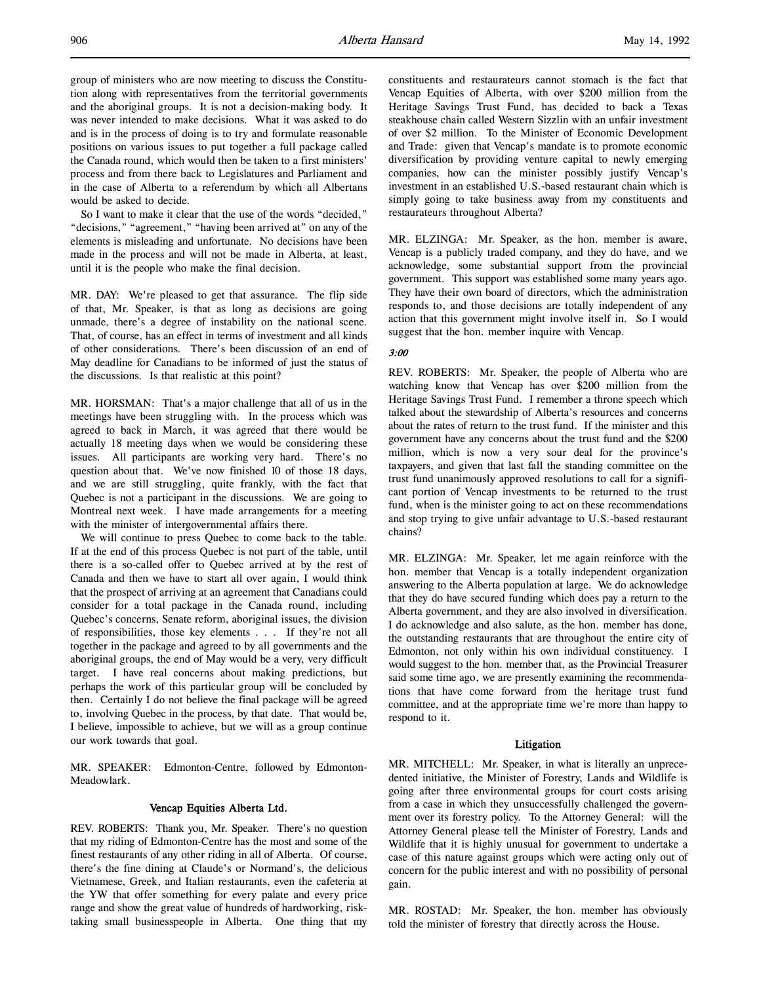group of ministers who are now meeting to discuss the Constitution along with representatives from the territorial governments and the aboriginal groups. It is not a decision-making body. It was never intended to make decisions. What it was asked to do and is in the process of doing is to try and formulate reasonable positions on various issues to put together a full package called the Canada round, which would then be taken to a first ministers' process and from there back to Legislatures and Parliament and in the case of Alberta to a referendum by which all Albertans would be asked to decide.

So I want to make it clear that the use of the words "decided," "decisions," "agreement," "having been arrived at" on any of the elements is misleading and unfortunate. No decisions have been made in the process and will not be made in Alberta, at least, until it is the people who make the final decision.

MR. DAY: We're pleased to get that assurance. The flip side of that, Mr. Speaker, is that as long as decisions are going unmade, there's a degree of instability on the national scene. That, of course, has an effect in terms of investment and all kinds of other considerations. There's been discussion of an end of May deadline for Canadians to be informed of just the status of the discussions. Is that realistic at this point?

MR. HORSMAN: That's a major challenge that all of us in the meetings have been struggling with. In the process which was agreed to back in March, it was agreed that there would be actually 18 meeting days when we would be considering these issues. All participants are working very hard. There's no question about that. We've now finished 10 of those 18 days, and we are still struggling, quite frankly, with the fact that Quebec is not a participant in the discussions. We are going to Montreal next week. I have made arrangements for a meeting with the minister of intergovernmental affairs there.

We will continue to press Quebec to come back to the table. If at the end of this process Quebec is not part of the table, until there is a so-called offer to Quebec arrived at by the rest of Canada and then we have to start all over again, I would think that the prospect of arriving at an agreement that Canadians could consider for a total package in the Canada round, including Quebec's concerns, Senate reform, aboriginal issues, the division of responsibilities, those key elements . . . If they're not all together in the package and agreed to by all governments and the aboriginal groups, the end of May would be a very, very difficult target. I have real concerns about making predictions, but perhaps the work of this particular group will be concluded by then. Certainly I do not believe the final package will be agreed to, involving Quebec in the process, by that date. That would be, I believe, impossible to achieve, but we will as a group continue our work towards that goal.

MR. SPEAKER: Edmonton-Centre, followed by Edmonton-Meadowlark.

# Vencap Equities Alberta Ltd.

REV. ROBERTS: Thank you, Mr. Speaker. There's no question that my riding of Edmonton-Centre has the most and some of the finest restaurants of any other riding in all of Alberta. Of course, there's the fine dining at Claude's or Normand's, the delicious Vietnamese, Greek, and Italian restaurants, even the cafeteria at the YW that offer something for every palate and every price range and show the great value of hundreds of hardworking, risktaking small businesspeople in Alberta. One thing that my constituents and restaurateurs cannot stomach is the fact that Vencap Equities of Alberta, with over \$200 million from the Heritage Savings Trust Fund, has decided to back a Texas steakhouse chain called Western Sizzlin with an unfair investment of over \$2 million. To the Minister of Economic Development and Trade: given that Vencap's mandate is to promote economic diversification by providing venture capital to newly emerging companies, how can the minister possibly justify Vencap's investment in an established U.S.-based restaurant chain which is simply going to take business away from my constituents and restaurateurs throughout Alberta?

MR. ELZINGA: Mr. Speaker, as the hon. member is aware, Vencap is a publicly traded company, and they do have, and we acknowledge, some substantial support from the provincial government. This support was established some many years ago. They have their own board of directors, which the administration responds to, and those decisions are totally independent of any action that this government might involve itself in. So I would suggest that the hon. member inquire with Vencap.

#### 3:00

REV. ROBERTS: Mr. Speaker, the people of Alberta who are watching know that Vencap has over \$200 million from the Heritage Savings Trust Fund. I remember a throne speech which talked about the stewardship of Alberta's resources and concerns about the rates of return to the trust fund. If the minister and this government have any concerns about the trust fund and the \$200 million, which is now a very sour deal for the province's taxpayers, and given that last fall the standing committee on the trust fund unanimously approved resolutions to call for a significant portion of Vencap investments to be returned to the trust fund, when is the minister going to act on these recommendations and stop trying to give unfair advantage to U.S.-based restaurant chains?

MR. ELZINGA: Mr. Speaker, let me again reinforce with the hon. member that Vencap is a totally independent organization answering to the Alberta population at large. We do acknowledge that they do have secured funding which does pay a return to the Alberta government, and they are also involved in diversification. I do acknowledge and also salute, as the hon. member has done, the outstanding restaurants that are throughout the entire city of Edmonton, not only within his own individual constituency. I would suggest to the hon. member that, as the Provincial Treasurer said some time ago, we are presently examining the recommendations that have come forward from the heritage trust fund committee, and at the appropriate time we're more than happy to respond to it.

### Litigation

MR. MITCHELL: Mr. Speaker, in what is literally an unprecedented initiative, the Minister of Forestry, Lands and Wildlife is going after three environmental groups for court costs arising from a case in which they unsuccessfully challenged the government over its forestry policy. To the Attorney General: will the Attorney General please tell the Minister of Forestry, Lands and Wildlife that it is highly unusual for government to undertake a case of this nature against groups which were acting only out of concern for the public interest and with no possibility of personal gain.

MR. ROSTAD: Mr. Speaker, the hon. member has obviously told the minister of forestry that directly across the House.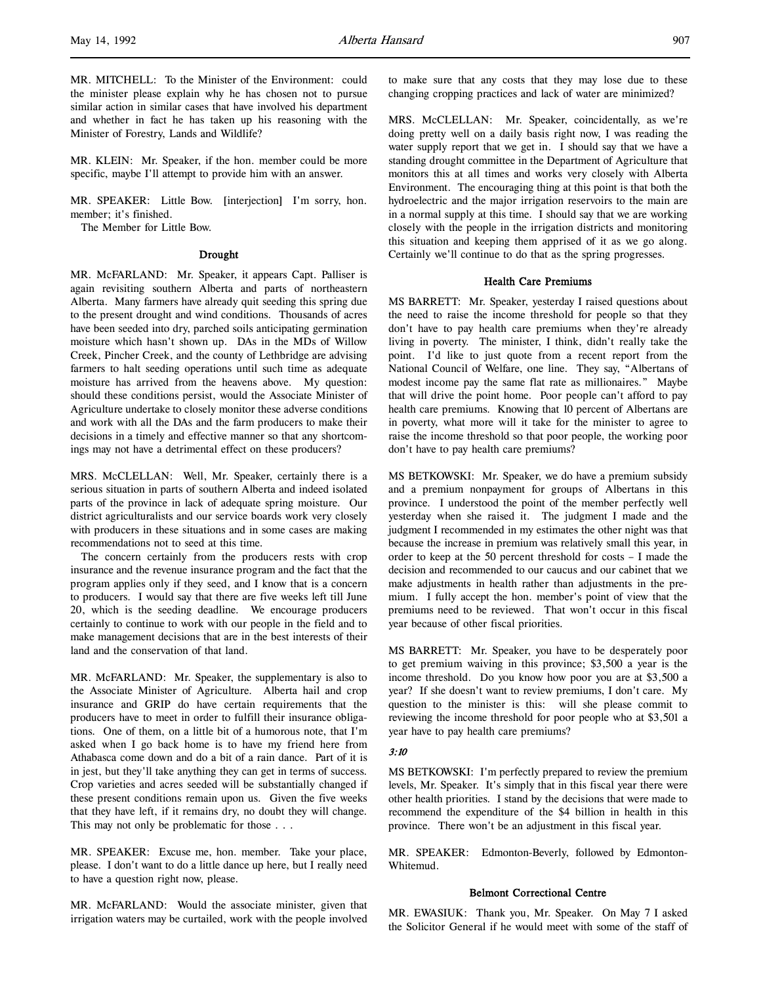MR. KLEIN: Mr. Speaker, if the hon. member could be more specific, maybe I'll attempt to provide him with an answer.

MR. SPEAKER: Little Bow. [interjection] I'm sorry, hon. member; it's finished.

The Member for Little Bow.

#### Drought

MR. McFARLAND: Mr. Speaker, it appears Capt. Palliser is again revisiting southern Alberta and parts of northeastern Alberta. Many farmers have already quit seeding this spring due to the present drought and wind conditions. Thousands of acres have been seeded into dry, parched soils anticipating germination moisture which hasn't shown up. DAs in the MDs of Willow Creek, Pincher Creek, and the county of Lethbridge are advising farmers to halt seeding operations until such time as adequate moisture has arrived from the heavens above. My question: should these conditions persist, would the Associate Minister of Agriculture undertake to closely monitor these adverse conditions and work with all the DAs and the farm producers to make their decisions in a timely and effective manner so that any shortcomings may not have a detrimental effect on these producers?

MRS. McCLELLAN: Well, Mr. Speaker, certainly there is a serious situation in parts of southern Alberta and indeed isolated parts of the province in lack of adequate spring moisture. Our district agriculturalists and our service boards work very closely with producers in these situations and in some cases are making recommendations not to seed at this time.

The concern certainly from the producers rests with crop insurance and the revenue insurance program and the fact that the program applies only if they seed, and I know that is a concern to producers. I would say that there are five weeks left till June 20, which is the seeding deadline. We encourage producers certainly to continue to work with our people in the field and to make management decisions that are in the best interests of their land and the conservation of that land.

MR. McFARLAND: Mr. Speaker, the supplementary is also to the Associate Minister of Agriculture. Alberta hail and crop insurance and GRIP do have certain requirements that the producers have to meet in order to fulfill their insurance obligations. One of them, on a little bit of a humorous note, that I'm asked when I go back home is to have my friend here from Athabasca come down and do a bit of a rain dance. Part of it is in jest, but they'll take anything they can get in terms of success. Crop varieties and acres seeded will be substantially changed if these present conditions remain upon us. Given the five weeks that they have left, if it remains dry, no doubt they will change. This may not only be problematic for those . . .

MR. SPEAKER: Excuse me, hon. member. Take your place, please. I don't want to do a little dance up here, but I really need to have a question right now, please.

MR. McFARLAND: Would the associate minister, given that irrigation waters may be curtailed, work with the people involved to make sure that any costs that they may lose due to these changing cropping practices and lack of water are minimized?

MRS. McCLELLAN: Mr. Speaker, coincidentally, as we're doing pretty well on a daily basis right now, I was reading the water supply report that we get in. I should say that we have a standing drought committee in the Department of Agriculture that monitors this at all times and works very closely with Alberta Environment. The encouraging thing at this point is that both the hydroelectric and the major irrigation reservoirs to the main are in a normal supply at this time. I should say that we are working closely with the people in the irrigation districts and monitoring this situation and keeping them apprised of it as we go along. Certainly we'll continue to do that as the spring progresses.

# Health Care Premiums

MS BARRETT: Mr. Speaker, yesterday I raised questions about the need to raise the income threshold for people so that they don't have to pay health care premiums when they're already living in poverty. The minister, I think, didn't really take the point. I'd like to just quote from a recent report from the National Council of Welfare, one line. They say, "Albertans of modest income pay the same flat rate as millionaires." Maybe that will drive the point home. Poor people can't afford to pay health care premiums. Knowing that 10 percent of Albertans are in poverty, what more will it take for the minister to agree to raise the income threshold so that poor people, the working poor don't have to pay health care premiums?

MS BETKOWSKI: Mr. Speaker, we do have a premium subsidy and a premium nonpayment for groups of Albertans in this province. I understood the point of the member perfectly well yesterday when she raised it. The judgment I made and the judgment I recommended in my estimates the other night was that because the increase in premium was relatively small this year, in order to keep at the 50 percent threshold for costs – I made the decision and recommended to our caucus and our cabinet that we make adjustments in health rather than adjustments in the premium. I fully accept the hon. member's point of view that the premiums need to be reviewed. That won't occur in this fiscal year because of other fiscal priorities.

MS BARRETT: Mr. Speaker, you have to be desperately poor to get premium waiving in this province; \$3,500 a year is the income threshold. Do you know how poor you are at \$3,500 a year? If she doesn't want to review premiums, I don't care. My question to the minister is this: will she please commit to reviewing the income threshold for poor people who at \$3,501 a year have to pay health care premiums?

#### 3:10

MS BETKOWSKI: I'm perfectly prepared to review the premium levels, Mr. Speaker. It's simply that in this fiscal year there were other health priorities. I stand by the decisions that were made to recommend the expenditure of the \$4 billion in health in this province. There won't be an adjustment in this fiscal year.

MR. SPEAKER: Edmonton-Beverly, followed by Edmonton-Whitemud.

### Belmont Correctional Centre

MR. EWASIUK: Thank you, Mr. Speaker. On May 7 I asked the Solicitor General if he would meet with some of the staff of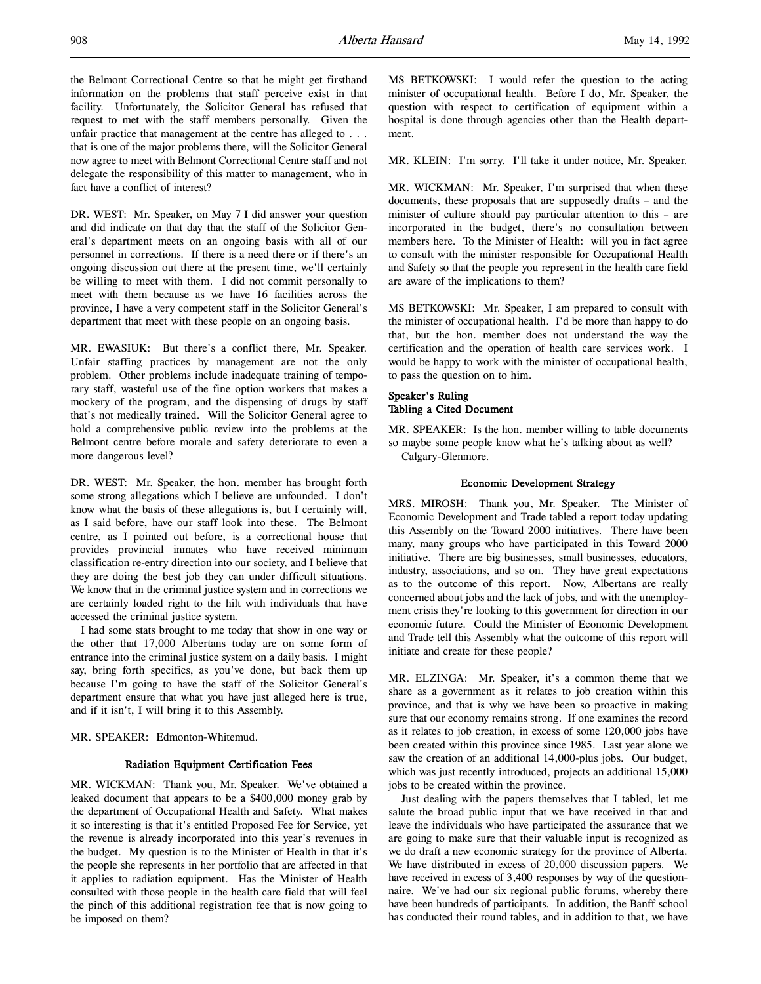the Belmont Correctional Centre so that he might get firsthand information on the problems that staff perceive exist in that facility. Unfortunately, the Solicitor General has refused that request to met with the staff members personally. Given the unfair practice that management at the centre has alleged to . . . that is one of the major problems there, will the Solicitor General now agree to meet with Belmont Correctional Centre staff and not delegate the responsibility of this matter to management, who in fact have a conflict of interest?

DR. WEST: Mr. Speaker, on May 7 I did answer your question and did indicate on that day that the staff of the Solicitor General's department meets on an ongoing basis with all of our personnel in corrections. If there is a need there or if there's an ongoing discussion out there at the present time, we'll certainly be willing to meet with them. I did not commit personally to meet with them because as we have 16 facilities across the province, I have a very competent staff in the Solicitor General's department that meet with these people on an ongoing basis.

MR. EWASIUK: But there's a conflict there, Mr. Speaker. Unfair staffing practices by management are not the only problem. Other problems include inadequate training of temporary staff, wasteful use of the fine option workers that makes a mockery of the program, and the dispensing of drugs by staff that's not medically trained. Will the Solicitor General agree to hold a comprehensive public review into the problems at the Belmont centre before morale and safety deteriorate to even a more dangerous level?

DR. WEST: Mr. Speaker, the hon. member has brought forth some strong allegations which I believe are unfounded. I don't know what the basis of these allegations is, but I certainly will, as I said before, have our staff look into these. The Belmont centre, as I pointed out before, is a correctional house that provides provincial inmates who have received minimum classification re-entry direction into our society, and I believe that they are doing the best job they can under difficult situations. We know that in the criminal justice system and in corrections we are certainly loaded right to the hilt with individuals that have accessed the criminal justice system.

I had some stats brought to me today that show in one way or the other that 17,000 Albertans today are on some form of entrance into the criminal justice system on a daily basis. I might say, bring forth specifics, as you've done, but back them up because I'm going to have the staff of the Solicitor General's department ensure that what you have just alleged here is true, and if it isn't, I will bring it to this Assembly.

MR. SPEAKER: Edmonton-Whitemud.

### Radiation Equipment Certification Fees

MR. WICKMAN: Thank you, Mr. Speaker. We've obtained a leaked document that appears to be a \$400,000 money grab by the department of Occupational Health and Safety. What makes it so interesting is that it's entitled Proposed Fee for Service, yet the revenue is already incorporated into this year's revenues in the budget. My question is to the Minister of Health in that it's the people she represents in her portfolio that are affected in that it applies to radiation equipment. Has the Minister of Health consulted with those people in the health care field that will feel the pinch of this additional registration fee that is now going to be imposed on them?

MS BETKOWSKI: I would refer the question to the acting minister of occupational health. Before I do, Mr. Speaker, the question with respect to certification of equipment within a hospital is done through agencies other than the Health department.

MR. KLEIN: I'm sorry. I'll take it under notice, Mr. Speaker.

MR. WICKMAN: Mr. Speaker, I'm surprised that when these documents, these proposals that are supposedly drafts – and the minister of culture should pay particular attention to this – are incorporated in the budget, there's no consultation between members here. To the Minister of Health: will you in fact agree to consult with the minister responsible for Occupational Health and Safety so that the people you represent in the health care field are aware of the implications to them?

MS BETKOWSKI: Mr. Speaker, I am prepared to consult with the minister of occupational health. I'd be more than happy to do that, but the hon. member does not understand the way the certification and the operation of health care services work. I would be happy to work with the minister of occupational health, to pass the question on to him.

# Speaker's Ruling Tabling a Cited Document

MR. SPEAKER: Is the hon. member willing to table documents so maybe some people know what he's talking about as well? Calgary-Glenmore.

### Economic Development Strategy

MRS. MIROSH: Thank you, Mr. Speaker. The Minister of Economic Development and Trade tabled a report today updating this Assembly on the Toward 2000 initiatives. There have been many, many groups who have participated in this Toward 2000 initiative. There are big businesses, small businesses, educators, industry, associations, and so on. They have great expectations as to the outcome of this report. Now, Albertans are really concerned about jobs and the lack of jobs, and with the unemployment crisis they're looking to this government for direction in our economic future. Could the Minister of Economic Development and Trade tell this Assembly what the outcome of this report will initiate and create for these people?

MR. ELZINGA: Mr. Speaker, it's a common theme that we share as a government as it relates to job creation within this province, and that is why we have been so proactive in making sure that our economy remains strong. If one examines the record as it relates to job creation, in excess of some 120,000 jobs have been created within this province since 1985. Last year alone we saw the creation of an additional 14,000-plus jobs. Our budget, which was just recently introduced, projects an additional 15,000 jobs to be created within the province.

Just dealing with the papers themselves that I tabled, let me salute the broad public input that we have received in that and leave the individuals who have participated the assurance that we are going to make sure that their valuable input is recognized as we do draft a new economic strategy for the province of Alberta. We have distributed in excess of 20,000 discussion papers. We have received in excess of 3,400 responses by way of the questionnaire. We've had our six regional public forums, whereby there have been hundreds of participants. In addition, the Banff school has conducted their round tables, and in addition to that, we have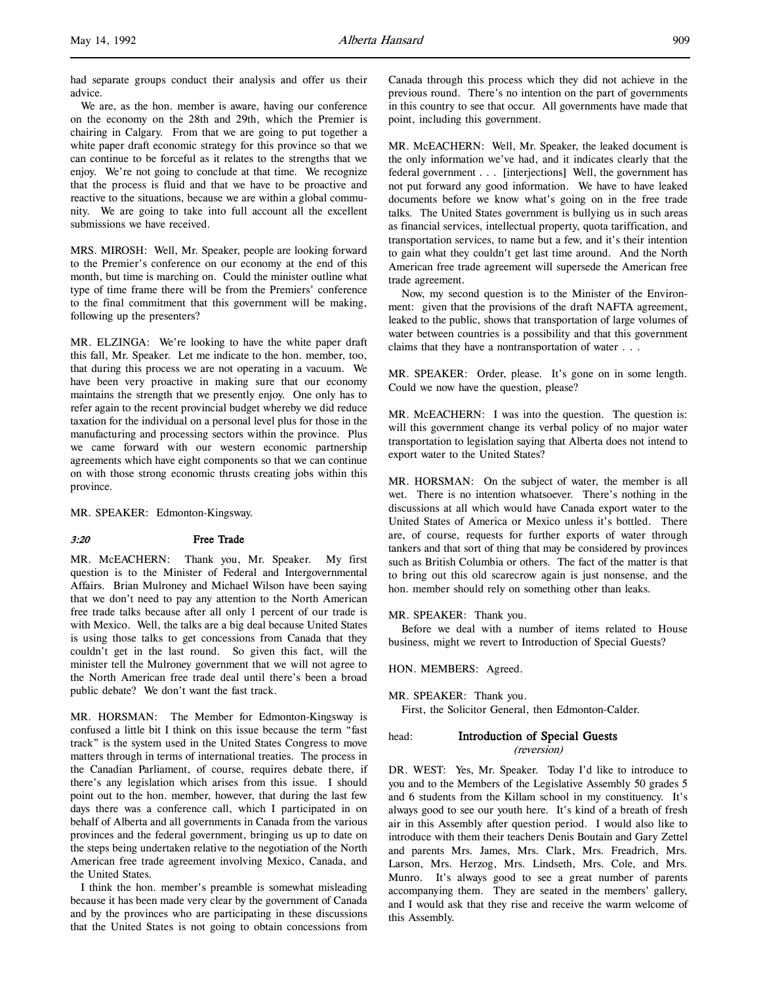had separate groups conduct their analysis and offer us their advice.

We are, as the hon. member is aware, having our conference on the economy on the 28th and 29th, which the Premier is chairing in Calgary. From that we are going to put together a white paper draft economic strategy for this province so that we can continue to be forceful as it relates to the strengths that we enjoy. We're not going to conclude at that time. We recognize that the process is fluid and that we have to be proactive and reactive to the situations, because we are within a global community. We are going to take into full account all the excellent submissions we have received.

MRS. MIROSH: Well, Mr. Speaker, people are looking forward to the Premier's conference on our economy at the end of this month, but time is marching on. Could the minister outline what type of time frame there will be from the Premiers' conference to the final commitment that this government will be making, following up the presenters?

MR. ELZINGA: We're looking to have the white paper draft this fall, Mr. Speaker. Let me indicate to the hon. member, too, that during this process we are not operating in a vacuum. We have been very proactive in making sure that our economy maintains the strength that we presently enjoy. One only has to refer again to the recent provincial budget whereby we did reduce taxation for the individual on a personal level plus for those in the manufacturing and processing sectors within the province. Plus we came forward with our western economic partnership agreements which have eight components so that we can continue on with those strong economic thrusts creating jobs within this province.

MR. SPEAKER: Edmonton-Kingsway.

### 3:20 Free Trade

MR. McEACHERN: Thank you, Mr. Speaker. My first question is to the Minister of Federal and Intergovernmental Affairs. Brian Mulroney and Michael Wilson have been saying that we don't need to pay any attention to the North American free trade talks because after all only 1 percent of our trade is with Mexico. Well, the talks are a big deal because United States is using those talks to get concessions from Canada that they couldn't get in the last round. So given this fact, will the minister tell the Mulroney government that we will not agree to the North American free trade deal until there's been a broad public debate? We don't want the fast track.

MR. HORSMAN: The Member for Edmonton-Kingsway is confused a little bit I think on this issue because the term "fast track" is the system used in the United States Congress to move matters through in terms of international treaties. The process in the Canadian Parliament, of course, requires debate there, if there's any legislation which arises from this issue. I should point out to the hon. member, however, that during the last few days there was a conference call, which I participated in on behalf of Alberta and all governments in Canada from the various provinces and the federal government, bringing us up to date on the steps being undertaken relative to the negotiation of the North American free trade agreement involving Mexico, Canada, and the United States.

I think the hon. member's preamble is somewhat misleading because it has been made very clear by the government of Canada and by the provinces who are participating in these discussions that the United States is not going to obtain concessions from

Canada through this process which they did not achieve in the previous round. There's no intention on the part of governments in this country to see that occur. All governments have made that point, including this government.

MR. McEACHERN: Well, Mr. Speaker, the leaked document is the only information we've had, and it indicates clearly that the federal government . . . [interjections] Well, the government has not put forward any good information. We have to have leaked documents before we know what's going on in the free trade talks. The United States government is bullying us in such areas as financial services, intellectual property, quota tariffication, and transportation services, to name but a few, and it's their intention to gain what they couldn't get last time around. And the North American free trade agreement will supersede the American free trade agreement.

Now, my second question is to the Minister of the Environment: given that the provisions of the draft NAFTA agreement, leaked to the public, shows that transportation of large volumes of water between countries is a possibility and that this government claims that they have a nontransportation of water . . .

MR. SPEAKER: Order, please. It's gone on in some length. Could we now have the question, please?

MR. McEACHERN: I was into the question. The question is: will this government change its verbal policy of no major water transportation to legislation saying that Alberta does not intend to export water to the United States?

MR. HORSMAN: On the subject of water, the member is all wet. There is no intention whatsoever. There's nothing in the discussions at all which would have Canada export water to the United States of America or Mexico unless it's bottled. There are, of course, requests for further exports of water through tankers and that sort of thing that may be considered by provinces such as British Columbia or others. The fact of the matter is that to bring out this old scarecrow again is just nonsense, and the hon. member should rely on something other than leaks.

MR. SPEAKER: Thank you.

Before we deal with a number of items related to House business, might we revert to Introduction of Special Guests?

HON. MEMBERS: Agreed.

First, the Solicitor General, then Edmonton-Calder.

# head: Introduction of Special Guests (reversion)

DR. WEST: Yes, Mr. Speaker. Today I'd like to introduce to you and to the Members of the Legislative Assembly 50 grades 5 and 6 students from the Killam school in my constituency. It's always good to see our youth here. It's kind of a breath of fresh air in this Assembly after question period. I would also like to introduce with them their teachers Denis Boutain and Gary Zettel and parents Mrs. James, Mrs. Clark, Mrs. Freadrich, Mrs. Larson, Mrs. Herzog, Mrs. Lindseth, Mrs. Cole, and Mrs. Munro. It's always good to see a great number of parents accompanying them. They are seated in the members' gallery, and I would ask that they rise and receive the warm welcome of this Assembly.

MR. SPEAKER: Thank you.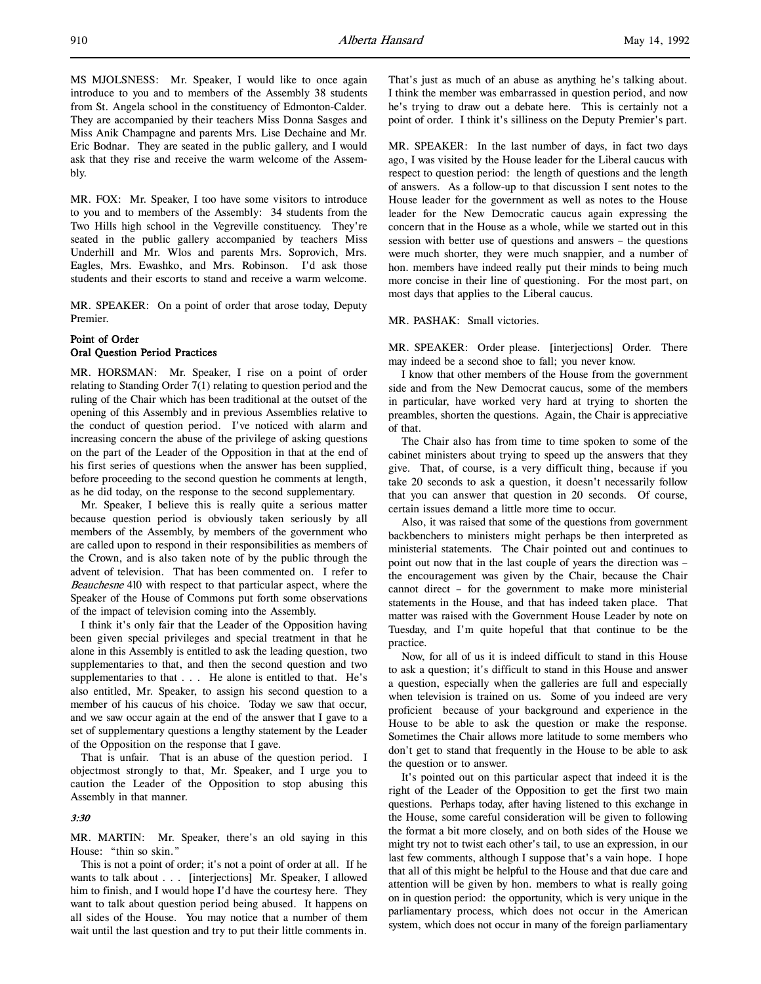MS MJOLSNESS: Mr. Speaker, I would like to once again introduce to you and to members of the Assembly 38 students from St. Angela school in the constituency of Edmonton-Calder. They are accompanied by their teachers Miss Donna Sasges and Miss Anik Champagne and parents Mrs. Lise Dechaine and Mr. Eric Bodnar. They are seated in the public gallery, and I would ask that they rise and receive the warm welcome of the Assembly.

MR. FOX: Mr. Speaker, I too have some visitors to introduce to you and to members of the Assembly: 34 students from the Two Hills high school in the Vegreville constituency. They're seated in the public gallery accompanied by teachers Miss Underhill and Mr. Wlos and parents Mrs. Soprovich, Mrs. Eagles, Mrs. Ewashko, and Mrs. Robinson. I'd ask those students and their escorts to stand and receive a warm welcome.

MR. SPEAKER: On a point of order that arose today, Deputy Premier.

# Point of Order Oral Question Period Practices

MR. HORSMAN: Mr. Speaker, I rise on a point of order relating to Standing Order 7(1) relating to question period and the ruling of the Chair which has been traditional at the outset of the opening of this Assembly and in previous Assemblies relative to the conduct of question period. I've noticed with alarm and increasing concern the abuse of the privilege of asking questions on the part of the Leader of the Opposition in that at the end of his first series of questions when the answer has been supplied, before proceeding to the second question he comments at length, as he did today, on the response to the second supplementary.

Mr. Speaker, I believe this is really quite a serious matter because question period is obviously taken seriously by all members of the Assembly, by members of the government who are called upon to respond in their responsibilities as members of the Crown, and is also taken note of by the public through the advent of television. That has been commented on. I refer to Beauchesne 410 with respect to that particular aspect, where the Speaker of the House of Commons put forth some observations of the impact of television coming into the Assembly.

I think it's only fair that the Leader of the Opposition having been given special privileges and special treatment in that he alone in this Assembly is entitled to ask the leading question, two supplementaries to that, and then the second question and two supplementaries to that . . . He alone is entitled to that. He's also entitled, Mr. Speaker, to assign his second question to a member of his caucus of his choice. Today we saw that occur, and we saw occur again at the end of the answer that I gave to a set of supplementary questions a lengthy statement by the Leader of the Opposition on the response that I gave.

That is unfair. That is an abuse of the question period. I objectmost strongly to that, Mr. Speaker, and I urge you to caution the Leader of the Opposition to stop abusing this Assembly in that manner.

# $3.30$

MR. MARTIN: Mr. Speaker, there's an old saying in this House: "thin so skin."

This is not a point of order; it's not a point of order at all. If he wants to talk about . . . [interjections] Mr. Speaker, I allowed him to finish, and I would hope I'd have the courtesy here. They want to talk about question period being abused. It happens on all sides of the House. You may notice that a number of them wait until the last question and try to put their little comments in.

That's just as much of an abuse as anything he's talking about. I think the member was embarrassed in question period, and now he's trying to draw out a debate here. This is certainly not a point of order. I think it's silliness on the Deputy Premier's part.

MR. SPEAKER: In the last number of days, in fact two days ago, I was visited by the House leader for the Liberal caucus with respect to question period: the length of questions and the length of answers. As a follow-up to that discussion I sent notes to the House leader for the government as well as notes to the House leader for the New Democratic caucus again expressing the concern that in the House as a whole, while we started out in this session with better use of questions and answers – the questions were much shorter, they were much snappier, and a number of hon. members have indeed really put their minds to being much more concise in their line of questioning. For the most part, on most days that applies to the Liberal caucus.

#### MR. PASHAK: Small victories.

MR. SPEAKER: Order please. [interjections] Order. There may indeed be a second shoe to fall; you never know.

I know that other members of the House from the government side and from the New Democrat caucus, some of the members in particular, have worked very hard at trying to shorten the preambles, shorten the questions. Again, the Chair is appreciative of that.

The Chair also has from time to time spoken to some of the cabinet ministers about trying to speed up the answers that they give. That, of course, is a very difficult thing, because if you take 20 seconds to ask a question, it doesn't necessarily follow that you can answer that question in 20 seconds. Of course, certain issues demand a little more time to occur.

Also, it was raised that some of the questions from government backbenchers to ministers might perhaps be then interpreted as ministerial statements. The Chair pointed out and continues to point out now that in the last couple of years the direction was – the encouragement was given by the Chair, because the Chair cannot direct – for the government to make more ministerial statements in the House, and that has indeed taken place. That matter was raised with the Government House Leader by note on Tuesday, and I'm quite hopeful that that continue to be the practice.

Now, for all of us it is indeed difficult to stand in this House to ask a question; it's difficult to stand in this House and answer a question, especially when the galleries are full and especially when television is trained on us. Some of you indeed are very proficient because of your background and experience in the House to be able to ask the question or make the response. Sometimes the Chair allows more latitude to some members who don't get to stand that frequently in the House to be able to ask the question or to answer.

It's pointed out on this particular aspect that indeed it is the right of the Leader of the Opposition to get the first two main questions. Perhaps today, after having listened to this exchange in the House, some careful consideration will be given to following the format a bit more closely, and on both sides of the House we might try not to twist each other's tail, to use an expression, in our last few comments, although I suppose that's a vain hope. I hope that all of this might be helpful to the House and that due care and attention will be given by hon. members to what is really going on in question period: the opportunity, which is very unique in the parliamentary process, which does not occur in the American system, which does not occur in many of the foreign parliamentary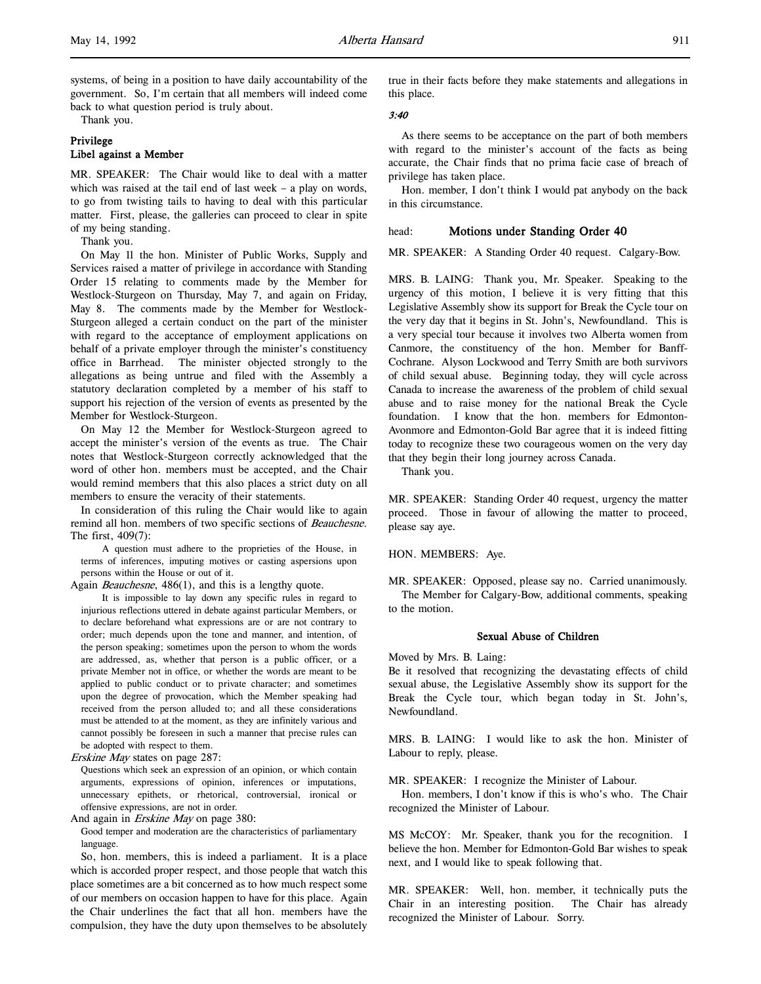systems, of being in a position to have daily accountability of the government. So, I'm certain that all members will indeed come back to what question period is truly about.

Thank you.

# Privilege Libel against a Member

MR. SPEAKER: The Chair would like to deal with a matter which was raised at the tail end of last week – a play on words, to go from twisting tails to having to deal with this particular matter. First, please, the galleries can proceed to clear in spite of my being standing.

Thank you.

On May 11 the hon. Minister of Public Works, Supply and Services raised a matter of privilege in accordance with Standing Order 15 relating to comments made by the Member for Westlock-Sturgeon on Thursday, May 7, and again on Friday, May 8. The comments made by the Member for Westlock-Sturgeon alleged a certain conduct on the part of the minister with regard to the acceptance of employment applications on behalf of a private employer through the minister's constituency office in Barrhead. The minister objected strongly to the allegations as being untrue and filed with the Assembly a statutory declaration completed by a member of his staff to support his rejection of the version of events as presented by the Member for Westlock-Sturgeon.

On May 12 the Member for Westlock-Sturgeon agreed to accept the minister's version of the events as true. The Chair notes that Westlock-Sturgeon correctly acknowledged that the word of other hon. members must be accepted, and the Chair would remind members that this also places a strict duty on all members to ensure the veracity of their statements.

In consideration of this ruling the Chair would like to again remind all hon. members of two specific sections of Beauchesne. The first, 409(7):

A question must adhere to the proprieties of the House, in terms of inferences, imputing motives or casting aspersions upon persons within the House or out of it.

Again Beauchesne, 486(1), and this is a lengthy quote.

It is impossible to lay down any specific rules in regard to injurious reflections uttered in debate against particular Members, or to declare beforehand what expressions are or are not contrary to order; much depends upon the tone and manner, and intention, of the person speaking; sometimes upon the person to whom the words are addressed, as, whether that person is a public officer, or a private Member not in office, or whether the words are meant to be applied to public conduct or to private character; and sometimes upon the degree of provocation, which the Member speaking had received from the person alluded to; and all these considerations must be attended to at the moment, as they are infinitely various and cannot possibly be foreseen in such a manner that precise rules can be adopted with respect to them.

Erskine May states on page 287:

Questions which seek an expression of an opinion, or which contain arguments, expressions of opinion, inferences or imputations, unnecessary epithets, or rhetorical, controversial, ironical or offensive expressions, are not in order.

And again in *Erskine May* on page 380:

Good temper and moderation are the characteristics of parliamentary language.

So, hon. members, this is indeed a parliament. It is a place which is accorded proper respect, and those people that watch this place sometimes are a bit concerned as to how much respect some of our members on occasion happen to have for this place. Again the Chair underlines the fact that all hon. members have the compulsion, they have the duty upon themselves to be absolutely

true in their facts before they make statements and allegations in this place.

### 3:40

As there seems to be acceptance on the part of both members with regard to the minister's account of the facts as being accurate, the Chair finds that no prima facie case of breach of privilege has taken place.

Hon. member, I don't think I would pat anybody on the back in this circumstance.

# head: Motions under Standing Order 40

MR. SPEAKER: A Standing Order 40 request. Calgary-Bow.

MRS. B. LAING: Thank you, Mr. Speaker. Speaking to the urgency of this motion, I believe it is very fitting that this Legislative Assembly show its support for Break the Cycle tour on the very day that it begins in St. John's, Newfoundland. This is a very special tour because it involves two Alberta women from Canmore, the constituency of the hon. Member for Banff-Cochrane. Alyson Lockwood and Terry Smith are both survivors of child sexual abuse. Beginning today, they will cycle across Canada to increase the awareness of the problem of child sexual abuse and to raise money for the national Break the Cycle foundation. I know that the hon. members for Edmonton-Avonmore and Edmonton-Gold Bar agree that it is indeed fitting today to recognize these two courageous women on the very day that they begin their long journey across Canada.

Thank you.

MR. SPEAKER: Standing Order 40 request, urgency the matter proceed. Those in favour of allowing the matter to proceed, please say aye.

HON. MEMBERS: Aye.

MR. SPEAKER: Opposed, please say no. Carried unanimously. The Member for Calgary-Bow, additional comments, speaking to the motion.

# Sexual Abuse of Children

Moved by Mrs. B. Laing:

Be it resolved that recognizing the devastating effects of child sexual abuse, the Legislative Assembly show its support for the Break the Cycle tour, which began today in St. John's, Newfoundland.

MRS. B. LAING: I would like to ask the hon. Minister of Labour to reply, please.

MR. SPEAKER: I recognize the Minister of Labour.

Hon. members, I don't know if this is who's who. The Chair recognized the Minister of Labour.

MS McCOY: Mr. Speaker, thank you for the recognition. I believe the hon. Member for Edmonton-Gold Bar wishes to speak next, and I would like to speak following that.

MR. SPEAKER: Well, hon. member, it technically puts the Chair in an interesting position. The Chair has already recognized the Minister of Labour. Sorry.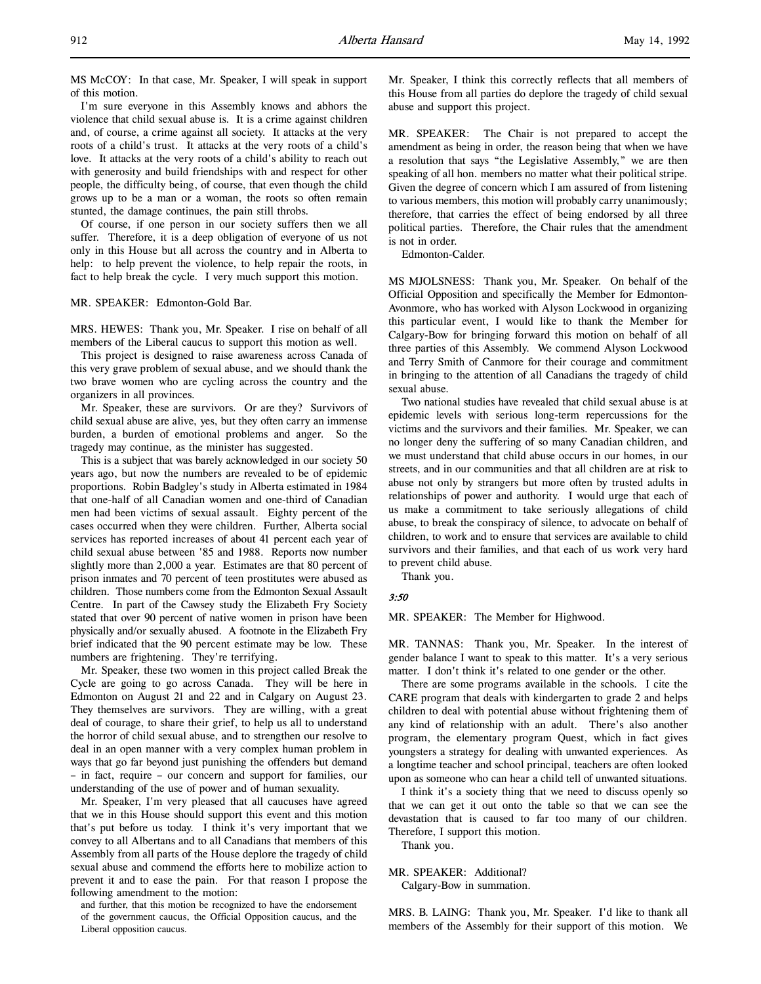I'm sure everyone in this Assembly knows and abhors the violence that child sexual abuse is. It is a crime against children and, of course, a crime against all society. It attacks at the very roots of a child's trust. It attacks at the very roots of a child's love. It attacks at the very roots of a child's ability to reach out with generosity and build friendships with and respect for other people, the difficulty being, of course, that even though the child grows up to be a man or a woman, the roots so often remain stunted, the damage continues, the pain still throbs.

Of course, if one person in our society suffers then we all suffer. Therefore, it is a deep obligation of everyone of us not only in this House but all across the country and in Alberta to help: to help prevent the violence, to help repair the roots, in fact to help break the cycle. I very much support this motion.

## MR. SPEAKER: Edmonton-Gold Bar.

MRS. HEWES: Thank you, Mr. Speaker. I rise on behalf of all members of the Liberal caucus to support this motion as well.

This project is designed to raise awareness across Canada of this very grave problem of sexual abuse, and we should thank the two brave women who are cycling across the country and the organizers in all provinces.

Mr. Speaker, these are survivors. Or are they? Survivors of child sexual abuse are alive, yes, but they often carry an immense burden, a burden of emotional problems and anger. So the tragedy may continue, as the minister has suggested.

This is a subject that was barely acknowledged in our society 50 years ago, but now the numbers are revealed to be of epidemic proportions. Robin Badgley's study in Alberta estimated in 1984 that one-half of all Canadian women and one-third of Canadian men had been victims of sexual assault. Eighty percent of the cases occurred when they were children. Further, Alberta social services has reported increases of about 41 percent each year of child sexual abuse between '85 and 1988. Reports now number slightly more than 2,000 a year. Estimates are that 80 percent of prison inmates and 70 percent of teen prostitutes were abused as children. Those numbers come from the Edmonton Sexual Assault Centre. In part of the Cawsey study the Elizabeth Fry Society stated that over 90 percent of native women in prison have been physically and/or sexually abused. A footnote in the Elizabeth Fry brief indicated that the 90 percent estimate may be low. These numbers are frightening. They're terrifying.

Mr. Speaker, these two women in this project called Break the Cycle are going to go across Canada. They will be here in Edmonton on August 21 and 22 and in Calgary on August 23. They themselves are survivors. They are willing, with a great deal of courage, to share their grief, to help us all to understand the horror of child sexual abuse, and to strengthen our resolve to deal in an open manner with a very complex human problem in ways that go far beyond just punishing the offenders but demand – in fact, require – our concern and support for families, our understanding of the use of power and of human sexuality.

Mr. Speaker, I'm very pleased that all caucuses have agreed that we in this House should support this event and this motion that's put before us today. I think it's very important that we convey to all Albertans and to all Canadians that members of this Assembly from all parts of the House deplore the tragedy of child sexual abuse and commend the efforts here to mobilize action to prevent it and to ease the pain. For that reason I propose the following amendment to the motion:

and further, that this motion be recognized to have the endorsement of the government caucus, the Official Opposition caucus, and the Liberal opposition caucus.

Mr. Speaker, I think this correctly reflects that all members of this House from all parties do deplore the tragedy of child sexual abuse and support this project.

MR. SPEAKER: The Chair is not prepared to accept the amendment as being in order, the reason being that when we have a resolution that says "the Legislative Assembly," we are then speaking of all hon. members no matter what their political stripe. Given the degree of concern which I am assured of from listening to various members, this motion will probably carry unanimously; therefore, that carries the effect of being endorsed by all three political parties. Therefore, the Chair rules that the amendment is not in order.

Edmonton-Calder.

MS MJOLSNESS: Thank you, Mr. Speaker. On behalf of the Official Opposition and specifically the Member for Edmonton-Avonmore, who has worked with Alyson Lockwood in organizing this particular event, I would like to thank the Member for Calgary-Bow for bringing forward this motion on behalf of all three parties of this Assembly. We commend Alyson Lockwood and Terry Smith of Canmore for their courage and commitment in bringing to the attention of all Canadians the tragedy of child sexual abuse.

Two national studies have revealed that child sexual abuse is at epidemic levels with serious long-term repercussions for the victims and the survivors and their families. Mr. Speaker, we can no longer deny the suffering of so many Canadian children, and we must understand that child abuse occurs in our homes, in our streets, and in our communities and that all children are at risk to abuse not only by strangers but more often by trusted adults in relationships of power and authority. I would urge that each of us make a commitment to take seriously allegations of child abuse, to break the conspiracy of silence, to advocate on behalf of children, to work and to ensure that services are available to child survivors and their families, and that each of us work very hard to prevent child abuse.

Thank you.

#### 3:50

MR. SPEAKER: The Member for Highwood.

MR. TANNAS: Thank you, Mr. Speaker. In the interest of gender balance I want to speak to this matter. It's a very serious matter. I don't think it's related to one gender or the other.

There are some programs available in the schools. I cite the CARE program that deals with kindergarten to grade 2 and helps children to deal with potential abuse without frightening them of any kind of relationship with an adult. There's also another program, the elementary program Quest, which in fact gives youngsters a strategy for dealing with unwanted experiences. As a longtime teacher and school principal, teachers are often looked upon as someone who can hear a child tell of unwanted situations.

I think it's a society thing that we need to discuss openly so that we can get it out onto the table so that we can see the devastation that is caused to far too many of our children. Therefore, I support this motion.

Thank you.

# MR. SPEAKER: Additional?

Calgary-Bow in summation.

MRS. B. LAING: Thank you, Mr. Speaker. I'd like to thank all members of the Assembly for their support of this motion. We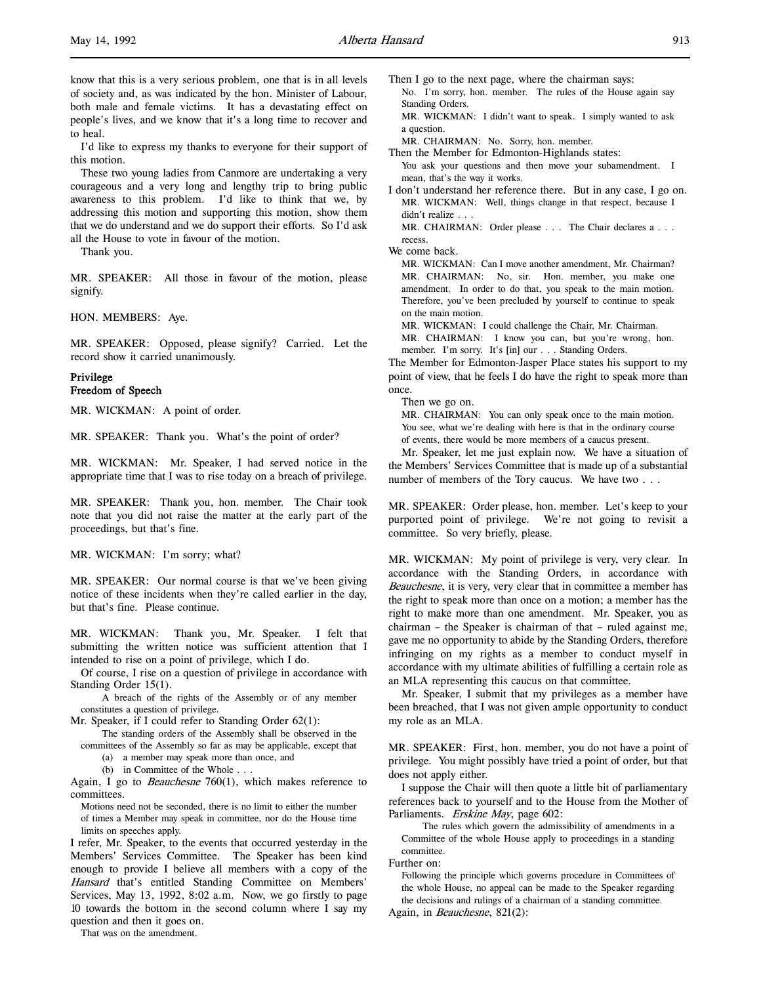l,

I'd like to express my thanks to everyone for their support of this motion.

These two young ladies from Canmore are undertaking a very courageous and a very long and lengthy trip to bring public awareness to this problem. I'd like to think that we, by addressing this motion and supporting this motion, show them that we do understand and we do support their efforts. So I'd ask all the House to vote in favour of the motion.

Thank you.

MR. SPEAKER: All those in favour of the motion, please signify.

HON. MEMBERS: Aye.

MR. SPEAKER: Opposed, please signify? Carried. Let the record show it carried unanimously.

### Privilege Freedom of Speech

MR. WICKMAN: A point of order.

MR. SPEAKER: Thank you. What's the point of order?

MR. WICKMAN: Mr. Speaker, I had served notice in the appropriate time that I was to rise today on a breach of privilege.

MR. SPEAKER: Thank you, hon. member. The Chair took note that you did not raise the matter at the early part of the proceedings, but that's fine.

MR. WICKMAN: I'm sorry; what?

MR. SPEAKER: Our normal course is that we've been giving notice of these incidents when they're called earlier in the day, but that's fine. Please continue.

MR. WICKMAN: Thank you, Mr. Speaker. I felt that submitting the written notice was sufficient attention that I intended to rise on a point of privilege, which I do.

Of course, I rise on a question of privilege in accordance with Standing Order 15(1).

A breach of the rights of the Assembly or of any member constitutes a question of privilege.

Mr. Speaker, if I could refer to Standing Order 62(1):

The standing orders of the Assembly shall be observed in the committees of the Assembly so far as may be applicable, except that

(a) a member may speak more than once, and

(b) in Committee of the Whole . . .

Again, I go to *Beauchesne*  $760(1)$ , which makes reference to committees.

Motions need not be seconded, there is no limit to either the number of times a Member may speak in committee, nor do the House time limits on speeches apply.

I refer, Mr. Speaker, to the events that occurred yesterday in the Members' Services Committee. The Speaker has been kind enough to provide I believe all members with a copy of the Hansard that's entitled Standing Committee on Members' Services, May 13, 1992, 8:02 a.m. Now, we go firstly to page 10 towards the bottom in the second column where I say my question and then it goes on.

That was on the amendment.

Then I go to the next page, where the chairman says: No. I'm sorry, hon. member. The rules of the House again say Standing Orders. MR. WICKMAN: I didn't want to speak. I simply wanted to ask

a question.

MR. CHAIRMAN: No. Sorry, hon. member.

Then the Member for Edmonton-Highlands states: You ask your questions and then move your subamendment. I mean, that's the way it works.

I don't understand her reference there. But in any case, I go on. MR. WICKMAN: Well, things change in that respect, because I didn't realize . . .

MR. CHAIRMAN: Order please . . . The Chair declares a . . . recess.

MR. WICKMAN: Can I move another amendment, Mr. Chairman? MR. CHAIRMAN: No, sir. Hon. member, you make one amendment. In order to do that, you speak to the main motion. Therefore, you've been precluded by yourself to continue to speak on the main motion.

MR. WICKMAN: I could challenge the Chair, Mr. Chairman. MR. CHAIRMAN: I know you can, but you're wrong, hon. member. I'm sorry. It's [in] our . . . Standing Orders.

The Member for Edmonton-Jasper Place states his support to my point of view, that he feels I do have the right to speak more than once.

Then we go on.

MR. CHAIRMAN: You can only speak once to the main motion. You see, what we're dealing with here is that in the ordinary course of events, there would be more members of a caucus present.

Mr. Speaker, let me just explain now. We have a situation of the Members' Services Committee that is made up of a substantial number of members of the Tory caucus. We have two . . .

MR. SPEAKER: Order please, hon. member. Let's keep to your purported point of privilege. We're not going to revisit a committee. So very briefly, please.

MR. WICKMAN: My point of privilege is very, very clear. In accordance with the Standing Orders, in accordance with Beauchesne, it is very, very clear that in committee a member has the right to speak more than once on a motion; a member has the right to make more than one amendment. Mr. Speaker, you as chairman – the Speaker is chairman of that – ruled against me, gave me no opportunity to abide by the Standing Orders, therefore infringing on my rights as a member to conduct myself in accordance with my ultimate abilities of fulfilling a certain role as an MLA representing this caucus on that committee.

Mr. Speaker, I submit that my privileges as a member have been breached, that I was not given ample opportunity to conduct my role as an MLA.

MR. SPEAKER: First, hon. member, you do not have a point of privilege. You might possibly have tried a point of order, but that does not apply either.

I suppose the Chair will then quote a little bit of parliamentary references back to yourself and to the House from the Mother of Parliaments. Erskine May, page 602:

The rules which govern the admissibility of amendments in a Committee of the whole House apply to proceedings in a standing committee.

Further on:

Following the principle which governs procedure in Committees of the whole House, no appeal can be made to the Speaker regarding the decisions and rulings of a chairman of a standing committee. Again, in Beauchesne, 821(2):

We come back.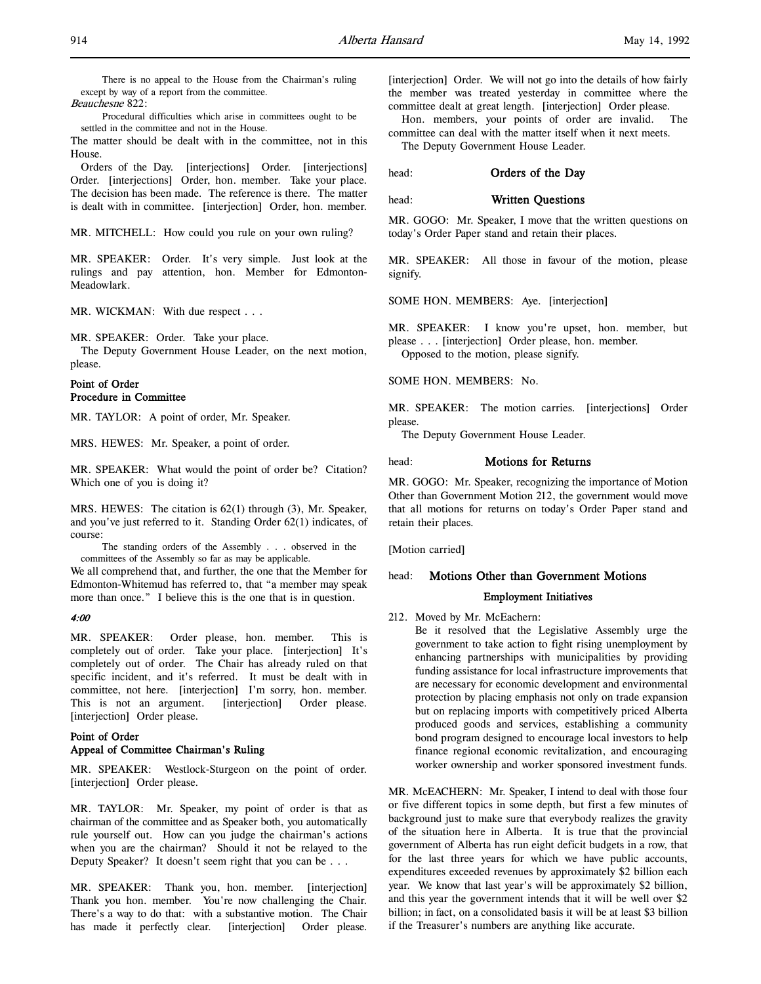There is no appeal to the House from the Chairman's ruling except by way of a report from the committee. Beauchesne 822:

Procedural difficulties which arise in committees ought to be settled in the committee and not in the House.

The matter should be dealt with in the committee, not in this House.

Orders of the Day. [interjections] Order. [interjections] Order. [interjections] Order, hon. member. Take your place. The decision has been made. The reference is there. The matter is dealt with in committee. [interjection] Order, hon. member.

MR. MITCHELL: How could you rule on your own ruling?

MR. SPEAKER: Order. It's very simple. Just look at the rulings and pay attention, hon. Member for Edmonton-Meadowlark.

MR. WICKMAN: With due respect . . .

MR. SPEAKER: Order. Take your place.

The Deputy Government House Leader, on the next motion, please.

# Point of Order Procedure in Committee

MR. TAYLOR: A point of order, Mr. Speaker.

MRS. HEWES: Mr. Speaker, a point of order.

MR. SPEAKER: What would the point of order be? Citation? Which one of you is doing it?

MRS. HEWES: The citation is 62(1) through (3), Mr. Speaker, and you've just referred to it. Standing Order 62(1) indicates, of course:

The standing orders of the Assembly . . . observed in the committees of the Assembly so far as may be applicable.

We all comprehend that, and further, the one that the Member for Edmonton-Whitemud has referred to, that "a member may speak more than once." I believe this is the one that is in question.

## 4:00

MR. SPEAKER: Order please, hon. member. This is completely out of order. Take your place. [interjection] It's completely out of order. The Chair has already ruled on that specific incident, and it's referred. It must be dealt with in committee, not here. [interjection] I'm sorry, hon. member. This is not an argument. [interjection] Order please. [interjection] Order please.

# Point of Order Appeal of Committee Chairman's Ruling

MR. SPEAKER: Westlock-Sturgeon on the point of order. [interjection] Order please.

MR. TAYLOR: Mr. Speaker, my point of order is that as chairman of the committee and as Speaker both, you automatically rule yourself out. How can you judge the chairman's actions when you are the chairman? Should it not be relayed to the Deputy Speaker? It doesn't seem right that you can be . . .

MR. SPEAKER: Thank you, hon. member. [interjection] Thank you hon. member. You're now challenging the Chair. There's a way to do that: with a substantive motion. The Chair has made it perfectly clear. [interjection] Order please. [interjection] Order. We will not go into the details of how fairly the member was treated yesterday in committee where the committee dealt at great length. [interjection] Order please.

Hon. members, your points of order are invalid. The committee can deal with the matter itself when it next meets.

The Deputy Government House Leader.

head: **Orders of the Day** 

head: Written Questions

MR. GOGO: Mr. Speaker, I move that the written questions on today's Order Paper stand and retain their places.

MR. SPEAKER: All those in favour of the motion, please signify.

SOME HON. MEMBERS: Aye. [interjection]

MR. SPEAKER: I know you're upset, hon. member, but please . . . [interjection] Order please, hon. member. Opposed to the motion, please signify.

SOME HON. MEMBERS: No.

MR. SPEAKER: The motion carries. [interjections] Order please.

The Deputy Government House Leader.

# head: Motions for Returns

MR. GOGO: Mr. Speaker, recognizing the importance of Motion Other than Government Motion 212, the government would move that all motions for returns on today's Order Paper stand and retain their places.

[Motion carried]

# head: Motions Other than Government Motions

### Employment Initiatives

212. Moved by Mr. McEachern:

Be it resolved that the Legislative Assembly urge the government to take action to fight rising unemployment by enhancing partnerships with municipalities by providing funding assistance for local infrastructure improvements that are necessary for economic development and environmental protection by placing emphasis not only on trade expansion but on replacing imports with competitively priced Alberta produced goods and services, establishing a community bond program designed to encourage local investors to help finance regional economic revitalization, and encouraging worker ownership and worker sponsored investment funds.

MR. McEACHERN: Mr. Speaker, I intend to deal with those four or five different topics in some depth, but first a few minutes of background just to make sure that everybody realizes the gravity of the situation here in Alberta. It is true that the provincial government of Alberta has run eight deficit budgets in a row, that for the last three years for which we have public accounts, expenditures exceeded revenues by approximately \$2 billion each year. We know that last year's will be approximately \$2 billion, and this year the government intends that it will be well over \$2 billion; in fact, on a consolidated basis it will be at least \$3 billion if the Treasurer's numbers are anything like accurate.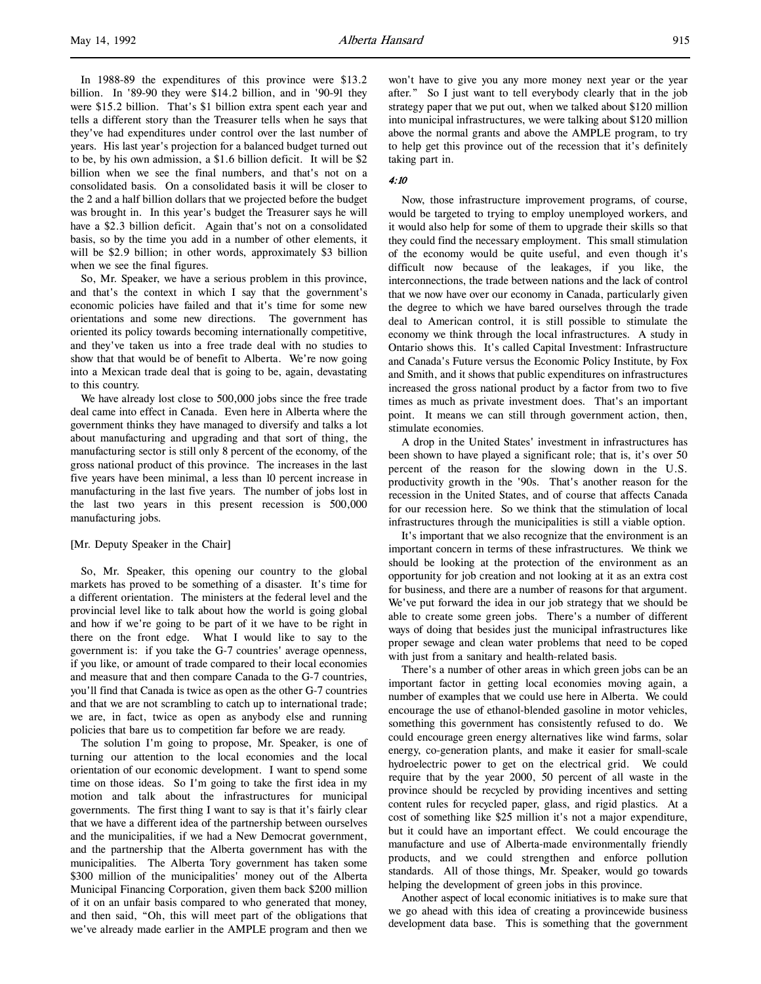In 1988-89 the expenditures of this province were \$13.2 billion. In '89-90 they were \$14.2 billion, and in '90-91 they were \$15.2 billion. That's \$1 billion extra spent each year and tells a different story than the Treasurer tells when he says that they've had expenditures under control over the last number of years. His last year's projection for a balanced budget turned out to be, by his own admission, a \$1.6 billion deficit. It will be \$2 billion when we see the final numbers, and that's not on a consolidated basis. On a consolidated basis it will be closer to the 2 and a half billion dollars that we projected before the budget was brought in. In this year's budget the Treasurer says he will have a \$2.3 billion deficit. Again that's not on a consolidated basis, so by the time you add in a number of other elements, it will be \$2.9 billion; in other words, approximately \$3 billion when we see the final figures.

So, Mr. Speaker, we have a serious problem in this province, and that's the context in which I say that the government's economic policies have failed and that it's time for some new orientations and some new directions. The government has oriented its policy towards becoming internationally competitive, and they've taken us into a free trade deal with no studies to show that that would be of benefit to Alberta. We're now going into a Mexican trade deal that is going to be, again, devastating to this country.

We have already lost close to 500,000 jobs since the free trade deal came into effect in Canada. Even here in Alberta where the government thinks they have managed to diversify and talks a lot about manufacturing and upgrading and that sort of thing, the manufacturing sector is still only 8 percent of the economy, of the gross national product of this province. The increases in the last five years have been minimal, a less than 10 percent increase in manufacturing in the last five years. The number of jobs lost in the last two years in this present recession is 500,000 manufacturing jobs.

# [Mr. Deputy Speaker in the Chair]

So, Mr. Speaker, this opening our country to the global markets has proved to be something of a disaster. It's time for a different orientation. The ministers at the federal level and the provincial level like to talk about how the world is going global and how if we're going to be part of it we have to be right in there on the front edge. What I would like to say to the government is: if you take the G-7 countries' average openness, if you like, or amount of trade compared to their local economies and measure that and then compare Canada to the G-7 countries, you'll find that Canada is twice as open as the other G-7 countries and that we are not scrambling to catch up to international trade; we are, in fact, twice as open as anybody else and running policies that bare us to competition far before we are ready.

The solution I'm going to propose, Mr. Speaker, is one of turning our attention to the local economies and the local orientation of our economic development. I want to spend some time on those ideas. So I'm going to take the first idea in my motion and talk about the infrastructures for municipal governments. The first thing I want to say is that it's fairly clear that we have a different idea of the partnership between ourselves and the municipalities, if we had a New Democrat government, and the partnership that the Alberta government has with the municipalities. The Alberta Tory government has taken some \$300 million of the municipalities' money out of the Alberta Municipal Financing Corporation, given them back \$200 million of it on an unfair basis compared to who generated that money, and then said, "Oh, this will meet part of the obligations that we've already made earlier in the AMPLE program and then we

won't have to give you any more money next year or the year after." So I just want to tell everybody clearly that in the job strategy paper that we put out, when we talked about \$120 million into municipal infrastructures, we were talking about \$120 million above the normal grants and above the AMPLE program, to try to help get this province out of the recession that it's definitely taking part in.

### 4:10

Now, those infrastructure improvement programs, of course, would be targeted to trying to employ unemployed workers, and it would also help for some of them to upgrade their skills so that they could find the necessary employment. This small stimulation of the economy would be quite useful, and even though it's difficult now because of the leakages, if you like, the interconnections, the trade between nations and the lack of control that we now have over our economy in Canada, particularly given the degree to which we have bared ourselves through the trade deal to American control, it is still possible to stimulate the economy we think through the local infrastructures. A study in Ontario shows this. It's called Capital Investment: Infrastructure and Canada's Future versus the Economic Policy Institute, by Fox and Smith, and it shows that public expenditures on infrastructures increased the gross national product by a factor from two to five times as much as private investment does. That's an important point. It means we can still through government action, then, stimulate economies.

A drop in the United States' investment in infrastructures has been shown to have played a significant role; that is, it's over 50 percent of the reason for the slowing down in the U.S. productivity growth in the '90s. That's another reason for the recession in the United States, and of course that affects Canada for our recession here. So we think that the stimulation of local infrastructures through the municipalities is still a viable option.

It's important that we also recognize that the environment is an important concern in terms of these infrastructures. We think we should be looking at the protection of the environment as an opportunity for job creation and not looking at it as an extra cost for business, and there are a number of reasons for that argument. We've put forward the idea in our job strategy that we should be able to create some green jobs. There's a number of different ways of doing that besides just the municipal infrastructures like proper sewage and clean water problems that need to be coped with just from a sanitary and health-related basis.

There's a number of other areas in which green jobs can be an important factor in getting local economies moving again, a number of examples that we could use here in Alberta. We could encourage the use of ethanol-blended gasoline in motor vehicles, something this government has consistently refused to do. We could encourage green energy alternatives like wind farms, solar energy, co-generation plants, and make it easier for small-scale hydroelectric power to get on the electrical grid. We could require that by the year 2000, 50 percent of all waste in the province should be recycled by providing incentives and setting content rules for recycled paper, glass, and rigid plastics. At a cost of something like \$25 million it's not a major expenditure, but it could have an important effect. We could encourage the manufacture and use of Alberta-made environmentally friendly products, and we could strengthen and enforce pollution standards. All of those things, Mr. Speaker, would go towards helping the development of green jobs in this province.

Another aspect of local economic initiatives is to make sure that we go ahead with this idea of creating a provincewide business development data base. This is something that the government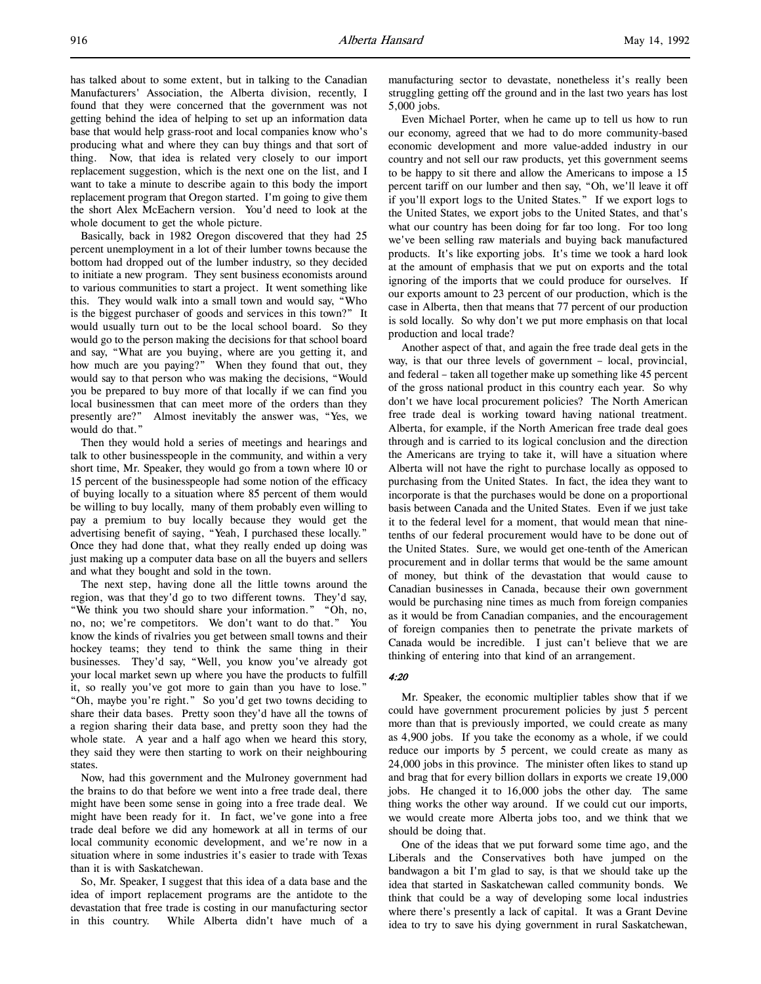has talked about to some extent, but in talking to the Canadian Manufacturers' Association, the Alberta division, recently, I found that they were concerned that the government was not getting behind the idea of helping to set up an information data base that would help grass-root and local companies know who's producing what and where they can buy things and that sort of thing. Now, that idea is related very closely to our import replacement suggestion, which is the next one on the list, and I want to take a minute to describe again to this body the import replacement program that Oregon started. I'm going to give them the short Alex McEachern version. You'd need to look at the whole document to get the whole picture.

Basically, back in 1982 Oregon discovered that they had 25 percent unemployment in a lot of their lumber towns because the bottom had dropped out of the lumber industry, so they decided to initiate a new program. They sent business economists around to various communities to start a project. It went something like this. They would walk into a small town and would say, "Who is the biggest purchaser of goods and services in this town?" It would usually turn out to be the local school board. So they would go to the person making the decisions for that school board and say, "What are you buying, where are you getting it, and how much are you paying?" When they found that out, they would say to that person who was making the decisions, "Would you be prepared to buy more of that locally if we can find you local businessmen that can meet more of the orders than they presently are?" Almost inevitably the answer was, "Yes, we would do that."

Then they would hold a series of meetings and hearings and talk to other businesspeople in the community, and within a very short time, Mr. Speaker, they would go from a town where 10 or 15 percent of the businesspeople had some notion of the efficacy of buying locally to a situation where 85 percent of them would be willing to buy locally, many of them probably even willing to pay a premium to buy locally because they would get the advertising benefit of saying, "Yeah, I purchased these locally." Once they had done that, what they really ended up doing was just making up a computer data base on all the buyers and sellers and what they bought and sold in the town.

The next step, having done all the little towns around the region, was that they'd go to two different towns. They'd say, "We think you two should share your information." "Oh, no, no, no; we're competitors. We don't want to do that." You know the kinds of rivalries you get between small towns and their hockey teams; they tend to think the same thing in their businesses. They'd say, "Well, you know you've already got your local market sewn up where you have the products to fulfill it, so really you've got more to gain than you have to lose." "Oh, maybe you're right." So you'd get two towns deciding to share their data bases. Pretty soon they'd have all the towns of a region sharing their data base, and pretty soon they had the whole state. A year and a half ago when we heard this story, they said they were then starting to work on their neighbouring states.

Now, had this government and the Mulroney government had the brains to do that before we went into a free trade deal, there might have been some sense in going into a free trade deal. We might have been ready for it. In fact, we've gone into a free trade deal before we did any homework at all in terms of our local community economic development, and we're now in a situation where in some industries it's easier to trade with Texas than it is with Saskatchewan.

So, Mr. Speaker, I suggest that this idea of a data base and the idea of import replacement programs are the antidote to the devastation that free trade is costing in our manufacturing sector in this country. While Alberta didn't have much of a manufacturing sector to devastate, nonetheless it's really been struggling getting off the ground and in the last two years has lost 5,000 jobs.

Even Michael Porter, when he came up to tell us how to run our economy, agreed that we had to do more community-based economic development and more value-added industry in our country and not sell our raw products, yet this government seems to be happy to sit there and allow the Americans to impose a 15 percent tariff on our lumber and then say, "Oh, we'll leave it off if you'll export logs to the United States." If we export logs to the United States, we export jobs to the United States, and that's what our country has been doing for far too long. For too long we've been selling raw materials and buying back manufactured products. It's like exporting jobs. It's time we took a hard look at the amount of emphasis that we put on exports and the total ignoring of the imports that we could produce for ourselves. If our exports amount to 23 percent of our production, which is the case in Alberta, then that means that 77 percent of our production is sold locally. So why don't we put more emphasis on that local production and local trade?

Another aspect of that, and again the free trade deal gets in the way, is that our three levels of government – local, provincial, and federal – taken all together make up something like 45 percent of the gross national product in this country each year. So why don't we have local procurement policies? The North American free trade deal is working toward having national treatment. Alberta, for example, if the North American free trade deal goes through and is carried to its logical conclusion and the direction the Americans are trying to take it, will have a situation where Alberta will not have the right to purchase locally as opposed to purchasing from the United States. In fact, the idea they want to incorporate is that the purchases would be done on a proportional basis between Canada and the United States. Even if we just take it to the federal level for a moment, that would mean that ninetenths of our federal procurement would have to be done out of the United States. Sure, we would get one-tenth of the American procurement and in dollar terms that would be the same amount of money, but think of the devastation that would cause to Canadian businesses in Canada, because their own government would be purchasing nine times as much from foreign companies as it would be from Canadian companies, and the encouragement of foreign companies then to penetrate the private markets of Canada would be incredible. I just can't believe that we are thinking of entering into that kind of an arrangement.

# 4:20

Mr. Speaker, the economic multiplier tables show that if we could have government procurement policies by just 5 percent more than that is previously imported, we could create as many as 4,900 jobs. If you take the economy as a whole, if we could reduce our imports by 5 percent, we could create as many as 24,000 jobs in this province. The minister often likes to stand up and brag that for every billion dollars in exports we create 19,000 jobs. He changed it to 16,000 jobs the other day. The same thing works the other way around. If we could cut our imports, we would create more Alberta jobs too, and we think that we should be doing that.

One of the ideas that we put forward some time ago, and the Liberals and the Conservatives both have jumped on the bandwagon a bit I'm glad to say, is that we should take up the idea that started in Saskatchewan called community bonds. We think that could be a way of developing some local industries where there's presently a lack of capital. It was a Grant Devine idea to try to save his dying government in rural Saskatchewan,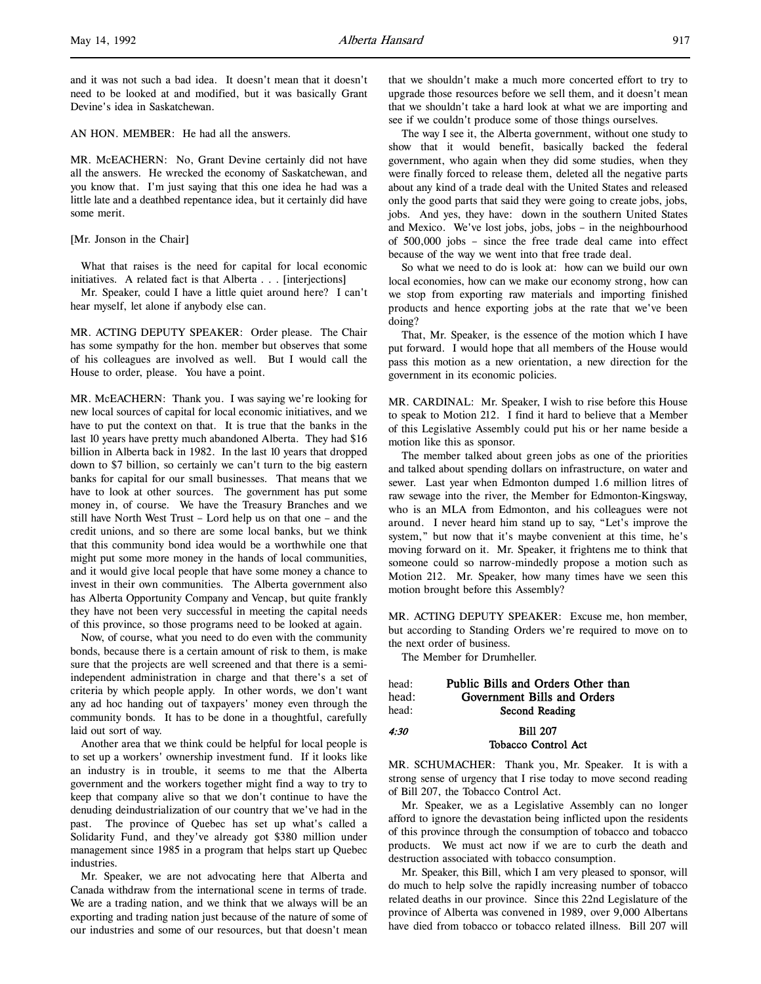and it was not such a bad idea. It doesn't mean that it doesn't need to be looked at and modified, but it was basically Grant Devine's idea in Saskatchewan.

AN HON. MEMBER: He had all the answers.

MR. McEACHERN: No, Grant Devine certainly did not have all the answers. He wrecked the economy of Saskatchewan, and you know that. I'm just saying that this one idea he had was a little late and a deathbed repentance idea, but it certainly did have some merit.

[Mr. Jonson in the Chair]

What that raises is the need for capital for local economic initiatives. A related fact is that Alberta . . . [interjections]

Mr. Speaker, could I have a little quiet around here? I can't hear myself, let alone if anybody else can.

MR. ACTING DEPUTY SPEAKER: Order please. The Chair has some sympathy for the hon. member but observes that some of his colleagues are involved as well. But I would call the House to order, please. You have a point.

MR. McEACHERN: Thank you. I was saying we're looking for new local sources of capital for local economic initiatives, and we have to put the context on that. It is true that the banks in the last 10 years have pretty much abandoned Alberta. They had \$16 billion in Alberta back in 1982. In the last 10 years that dropped down to \$7 billion, so certainly we can't turn to the big eastern banks for capital for our small businesses. That means that we have to look at other sources. The government has put some money in, of course. We have the Treasury Branches and we still have North West Trust – Lord help us on that one – and the credit unions, and so there are some local banks, but we think that this community bond idea would be a worthwhile one that might put some more money in the hands of local communities, and it would give local people that have some money a chance to invest in their own communities. The Alberta government also has Alberta Opportunity Company and Vencap, but quite frankly they have not been very successful in meeting the capital needs of this province, so those programs need to be looked at again.

Now, of course, what you need to do even with the community bonds, because there is a certain amount of risk to them, is make sure that the projects are well screened and that there is a semiindependent administration in charge and that there's a set of criteria by which people apply. In other words, we don't want any ad hoc handing out of taxpayers' money even through the community bonds. It has to be done in a thoughtful, carefully laid out sort of way.

Another area that we think could be helpful for local people is to set up a workers' ownership investment fund. If it looks like an industry is in trouble, it seems to me that the Alberta government and the workers together might find a way to try to keep that company alive so that we don't continue to have the denuding deindustrialization of our country that we've had in the past. The province of Quebec has set up what's called a Solidarity Fund, and they've already got \$380 million under management since 1985 in a program that helps start up Quebec industries.

Mr. Speaker, we are not advocating here that Alberta and Canada withdraw from the international scene in terms of trade. We are a trading nation, and we think that we always will be an exporting and trading nation just because of the nature of some of our industries and some of our resources, but that doesn't mean that we shouldn't make a much more concerted effort to try to upgrade those resources before we sell them, and it doesn't mean that we shouldn't take a hard look at what we are importing and see if we couldn't produce some of those things ourselves.

The way I see it, the Alberta government, without one study to show that it would benefit, basically backed the federal government, who again when they did some studies, when they were finally forced to release them, deleted all the negative parts about any kind of a trade deal with the United States and released only the good parts that said they were going to create jobs, jobs, jobs. And yes, they have: down in the southern United States and Mexico. We've lost jobs, jobs, jobs – in the neighbourhood of 500,000 jobs – since the free trade deal came into effect because of the way we went into that free trade deal.

So what we need to do is look at: how can we build our own local economies, how can we make our economy strong, how can we stop from exporting raw materials and importing finished products and hence exporting jobs at the rate that we've been doing?

That, Mr. Speaker, is the essence of the motion which I have put forward. I would hope that all members of the House would pass this motion as a new orientation, a new direction for the government in its economic policies.

MR. CARDINAL: Mr. Speaker, I wish to rise before this House to speak to Motion 212. I find it hard to believe that a Member of this Legislative Assembly could put his or her name beside a motion like this as sponsor.

The member talked about green jobs as one of the priorities and talked about spending dollars on infrastructure, on water and sewer. Last year when Edmonton dumped 1.6 million litres of raw sewage into the river, the Member for Edmonton-Kingsway, who is an MLA from Edmonton, and his colleagues were not around. I never heard him stand up to say, "Let's improve the system," but now that it's maybe convenient at this time, he's moving forward on it. Mr. Speaker, it frightens me to think that someone could so narrow-mindedly propose a motion such as Motion 212. Mr. Speaker, how many times have we seen this motion brought before this Assembly?

MR. ACTING DEPUTY SPEAKER: Excuse me, hon member, but according to Standing Orders we're required to move on to the next order of business.

The Member for Drumheller.

| head: | Public Bills and Orders Other than |
|-------|------------------------------------|
| head: | Government Bills and Orders        |
| head: | Second Reading                     |
| 4:30  | <b>Bill 207</b>                    |

Tobacco Control Act

MR. SCHUMACHER: Thank you, Mr. Speaker. It is with a strong sense of urgency that I rise today to move second reading of Bill 207, the Tobacco Control Act.

Mr. Speaker, we as a Legislative Assembly can no longer afford to ignore the devastation being inflicted upon the residents of this province through the consumption of tobacco and tobacco products. We must act now if we are to curb the death and destruction associated with tobacco consumption.

Mr. Speaker, this Bill, which I am very pleased to sponsor, will do much to help solve the rapidly increasing number of tobacco related deaths in our province. Since this 22nd Legislature of the province of Alberta was convened in 1989, over 9,000 Albertans have died from tobacco or tobacco related illness. Bill 207 will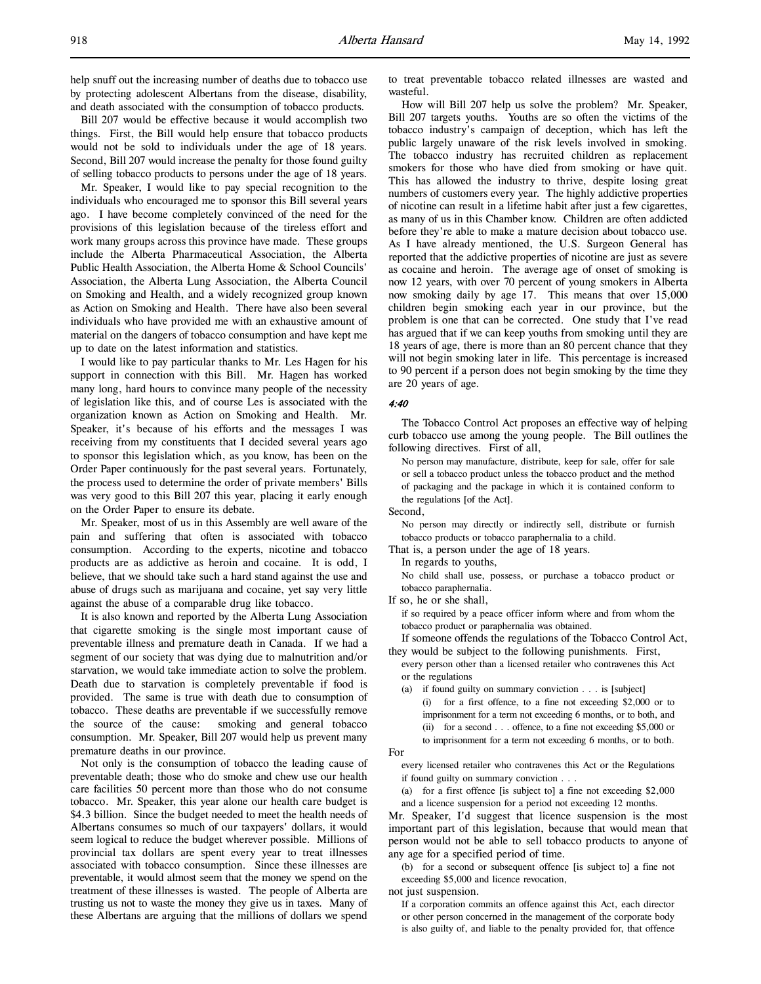help snuff out the increasing number of deaths due to tobacco use by protecting adolescent Albertans from the disease, disability, and death associated with the consumption of tobacco products.

Bill 207 would be effective because it would accomplish two things. First, the Bill would help ensure that tobacco products would not be sold to individuals under the age of 18 years. Second, Bill 207 would increase the penalty for those found guilty of selling tobacco products to persons under the age of 18 years.

Mr. Speaker, I would like to pay special recognition to the individuals who encouraged me to sponsor this Bill several years ago. I have become completely convinced of the need for the provisions of this legislation because of the tireless effort and work many groups across this province have made. These groups include the Alberta Pharmaceutical Association, the Alberta Public Health Association, the Alberta Home & School Councils' Association, the Alberta Lung Association, the Alberta Council on Smoking and Health, and a widely recognized group known as Action on Smoking and Health. There have also been several individuals who have provided me with an exhaustive amount of material on the dangers of tobacco consumption and have kept me up to date on the latest information and statistics.

I would like to pay particular thanks to Mr. Les Hagen for his support in connection with this Bill. Mr. Hagen has worked many long, hard hours to convince many people of the necessity of legislation like this, and of course Les is associated with the organization known as Action on Smoking and Health. Mr. Speaker, it's because of his efforts and the messages I was receiving from my constituents that I decided several years ago to sponsor this legislation which, as you know, has been on the Order Paper continuously for the past several years. Fortunately, the process used to determine the order of private members' Bills was very good to this Bill 207 this year, placing it early enough on the Order Paper to ensure its debate.

Mr. Speaker, most of us in this Assembly are well aware of the pain and suffering that often is associated with tobacco consumption. According to the experts, nicotine and tobacco products are as addictive as heroin and cocaine. It is odd, I believe, that we should take such a hard stand against the use and abuse of drugs such as marijuana and cocaine, yet say very little against the abuse of a comparable drug like tobacco.

It is also known and reported by the Alberta Lung Association that cigarette smoking is the single most important cause of preventable illness and premature death in Canada. If we had a segment of our society that was dying due to malnutrition and/or starvation, we would take immediate action to solve the problem. Death due to starvation is completely preventable if food is provided. The same is true with death due to consumption of tobacco. These deaths are preventable if we successfully remove the source of the cause: smoking and general tobacco consumption. Mr. Speaker, Bill 207 would help us prevent many premature deaths in our province.

Not only is the consumption of tobacco the leading cause of preventable death; those who do smoke and chew use our health care facilities 50 percent more than those who do not consume tobacco. Mr. Speaker, this year alone our health care budget is \$4.3 billion. Since the budget needed to meet the health needs of Albertans consumes so much of our taxpayers' dollars, it would seem logical to reduce the budget wherever possible. Millions of provincial tax dollars are spent every year to treat illnesses associated with tobacco consumption. Since these illnesses are preventable, it would almost seem that the money we spend on the treatment of these illnesses is wasted. The people of Alberta are trusting us not to waste the money they give us in taxes. Many of these Albertans are arguing that the millions of dollars we spend

to treat preventable tobacco related illnesses are wasted and wasteful.

How will Bill 207 help us solve the problem? Mr. Speaker, Bill 207 targets youths. Youths are so often the victims of the tobacco industry's campaign of deception, which has left the public largely unaware of the risk levels involved in smoking. The tobacco industry has recruited children as replacement smokers for those who have died from smoking or have quit. This has allowed the industry to thrive, despite losing great numbers of customers every year. The highly addictive properties of nicotine can result in a lifetime habit after just a few cigarettes, as many of us in this Chamber know. Children are often addicted before they're able to make a mature decision about tobacco use. As I have already mentioned, the U.S. Surgeon General has reported that the addictive properties of nicotine are just as severe as cocaine and heroin. The average age of onset of smoking is now 12 years, with over 70 percent of young smokers in Alberta now smoking daily by age 17. This means that over 15,000 children begin smoking each year in our province, but the problem is one that can be corrected. One study that I've read has argued that if we can keep youths from smoking until they are 18 years of age, there is more than an 80 percent chance that they will not begin smoking later in life. This percentage is increased to 90 percent if a person does not begin smoking by the time they are 20 years of age.

#### 4:40

The Tobacco Control Act proposes an effective way of helping curb tobacco use among the young people. The Bill outlines the following directives. First of all,

No person may manufacture, distribute, keep for sale, offer for sale or sell a tobacco product unless the tobacco product and the method of packaging and the package in which it is contained conform to the regulations [of the Act].

Second,

No person may directly or indirectly sell, distribute or furnish tobacco products or tobacco paraphernalia to a child.

That is, a person under the age of 18 years.

In regards to youths,

No child shall use, possess, or purchase a tobacco product or tobacco paraphernalia.

If so, he or she shall,

if so required by a peace officer inform where and from whom the tobacco product or paraphernalia was obtained.

If someone offends the regulations of the Tobacco Control Act, they would be subject to the following punishments. First,

every person other than a licensed retailer who contravenes this Act or the regulations

- (a) if found guilty on summary conviction . . . is [subject]
	- (i) for a first offence, to a fine not exceeding \$2,000 or to imprisonment for a term not exceeding 6 months, or to both, and (ii) for a second . . . offence, to a fine not exceeding \$5,000 or to imprisonment for a term not exceeding 6 months, or to both.

#### For

every licensed retailer who contravenes this Act or the Regulations if found guilty on summary conviction . . .

(a) for a first offence [is subject to] a fine not exceeding \$2,000 and a licence suspension for a period not exceeding 12 months.

Mr. Speaker, I'd suggest that licence suspension is the most important part of this legislation, because that would mean that person would not be able to sell tobacco products to anyone of any age for a specified period of time.

(b) for a second or subsequent offence [is subject to] a fine not exceeding \$5,000 and licence revocation,

not just suspension.

If a corporation commits an offence against this Act, each director or other person concerned in the management of the corporate body is also guilty of, and liable to the penalty provided for, that offence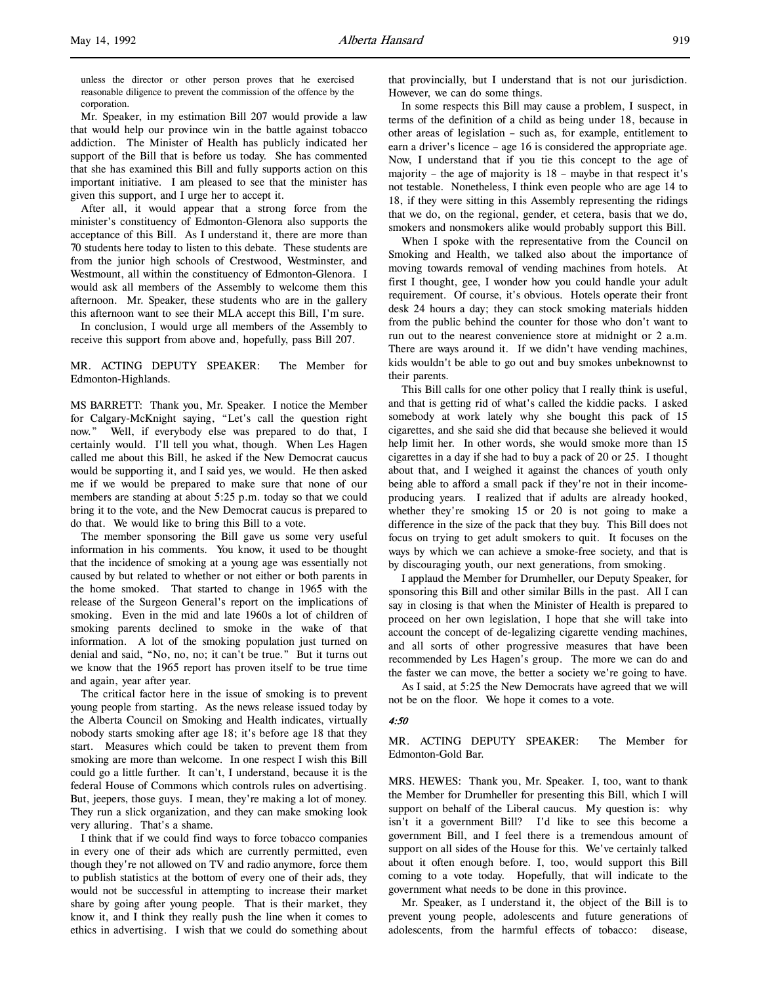l,

unless the director or other person proves that he exercised reasonable diligence to prevent the commission of the offence by the corporation.

Mr. Speaker, in my estimation Bill 207 would provide a law that would help our province win in the battle against tobacco addiction. The Minister of Health has publicly indicated her support of the Bill that is before us today. She has commented that she has examined this Bill and fully supports action on this important initiative. I am pleased to see that the minister has given this support, and I urge her to accept it.

After all, it would appear that a strong force from the minister's constituency of Edmonton-Glenora also supports the acceptance of this Bill. As I understand it, there are more than 70 students here today to listen to this debate. These students are from the junior high schools of Crestwood, Westminster, and Westmount, all within the constituency of Edmonton-Glenora. I would ask all members of the Assembly to welcome them this afternoon. Mr. Speaker, these students who are in the gallery this afternoon want to see their MLA accept this Bill, I'm sure.

In conclusion, I would urge all members of the Assembly to receive this support from above and, hopefully, pass Bill 207.

### MR. ACTING DEPUTY SPEAKER: The Member for Edmonton-Highlands.

MS BARRETT: Thank you, Mr. Speaker. I notice the Member for Calgary-McKnight saying, "Let's call the question right now." Well, if everybody else was prepared to do that, I certainly would. I'll tell you what, though. When Les Hagen called me about this Bill, he asked if the New Democrat caucus would be supporting it, and I said yes, we would. He then asked me if we would be prepared to make sure that none of our members are standing at about 5:25 p.m. today so that we could bring it to the vote, and the New Democrat caucus is prepared to do that. We would like to bring this Bill to a vote.

The member sponsoring the Bill gave us some very useful information in his comments. You know, it used to be thought that the incidence of smoking at a young age was essentially not caused by but related to whether or not either or both parents in the home smoked. That started to change in 1965 with the release of the Surgeon General's report on the implications of smoking. Even in the mid and late 1960s a lot of children of smoking parents declined to smoke in the wake of that information. A lot of the smoking population just turned on denial and said, "No, no, no; it can't be true." But it turns out we know that the 1965 report has proven itself to be true time and again, year after year.

The critical factor here in the issue of smoking is to prevent young people from starting. As the news release issued today by the Alberta Council on Smoking and Health indicates, virtually nobody starts smoking after age 18; it's before age 18 that they start. Measures which could be taken to prevent them from smoking are more than welcome. In one respect I wish this Bill could go a little further. It can't, I understand, because it is the federal House of Commons which controls rules on advertising. But, jeepers, those guys. I mean, they're making a lot of money. They run a slick organization, and they can make smoking look very alluring. That's a shame.

I think that if we could find ways to force tobacco companies in every one of their ads which are currently permitted, even though they're not allowed on TV and radio anymore, force them to publish statistics at the bottom of every one of their ads, they would not be successful in attempting to increase their market share by going after young people. That is their market, they know it, and I think they really push the line when it comes to ethics in advertising. I wish that we could do something about

that provincially, but I understand that is not our jurisdiction. However, we can do some things.

In some respects this Bill may cause a problem, I suspect, in terms of the definition of a child as being under 18, because in other areas of legislation – such as, for example, entitlement to earn a driver's licence – age 16 is considered the appropriate age. Now, I understand that if you tie this concept to the age of majority – the age of majority is 18 – maybe in that respect it's not testable. Nonetheless, I think even people who are age 14 to 18, if they were sitting in this Assembly representing the ridings that we do, on the regional, gender, et cetera, basis that we do, smokers and nonsmokers alike would probably support this Bill.

When I spoke with the representative from the Council on Smoking and Health, we talked also about the importance of moving towards removal of vending machines from hotels. At first I thought, gee, I wonder how you could handle your adult requirement. Of course, it's obvious. Hotels operate their front desk 24 hours a day; they can stock smoking materials hidden from the public behind the counter for those who don't want to run out to the nearest convenience store at midnight or 2 a.m. There are ways around it. If we didn't have vending machines, kids wouldn't be able to go out and buy smokes unbeknownst to their parents.

This Bill calls for one other policy that I really think is useful, and that is getting rid of what's called the kiddie packs. I asked somebody at work lately why she bought this pack of 15 cigarettes, and she said she did that because she believed it would help limit her. In other words, she would smoke more than 15 cigarettes in a day if she had to buy a pack of 20 or 25. I thought about that, and I weighed it against the chances of youth only being able to afford a small pack if they're not in their incomeproducing years. I realized that if adults are already hooked, whether they're smoking 15 or 20 is not going to make a difference in the size of the pack that they buy. This Bill does not focus on trying to get adult smokers to quit. It focuses on the ways by which we can achieve a smoke-free society, and that is by discouraging youth, our next generations, from smoking.

I applaud the Member for Drumheller, our Deputy Speaker, for sponsoring this Bill and other similar Bills in the past. All I can say in closing is that when the Minister of Health is prepared to proceed on her own legislation, I hope that she will take into account the concept of de-legalizing cigarette vending machines, and all sorts of other progressive measures that have been recommended by Les Hagen's group. The more we can do and the faster we can move, the better a society we're going to have.

As I said, at 5:25 the New Democrats have agreed that we will not be on the floor. We hope it comes to a vote.

#### 4:50

MR. ACTING DEPUTY SPEAKER: The Member for Edmonton-Gold Bar.

MRS. HEWES: Thank you, Mr. Speaker. I, too, want to thank the Member for Drumheller for presenting this Bill, which I will support on behalf of the Liberal caucus. My question is: why isn't it a government Bill? I'd like to see this become a government Bill, and I feel there is a tremendous amount of support on all sides of the House for this. We've certainly talked about it often enough before. I, too, would support this Bill coming to a vote today. Hopefully, that will indicate to the government what needs to be done in this province.

Mr. Speaker, as I understand it, the object of the Bill is to prevent young people, adolescents and future generations of adolescents, from the harmful effects of tobacco: disease,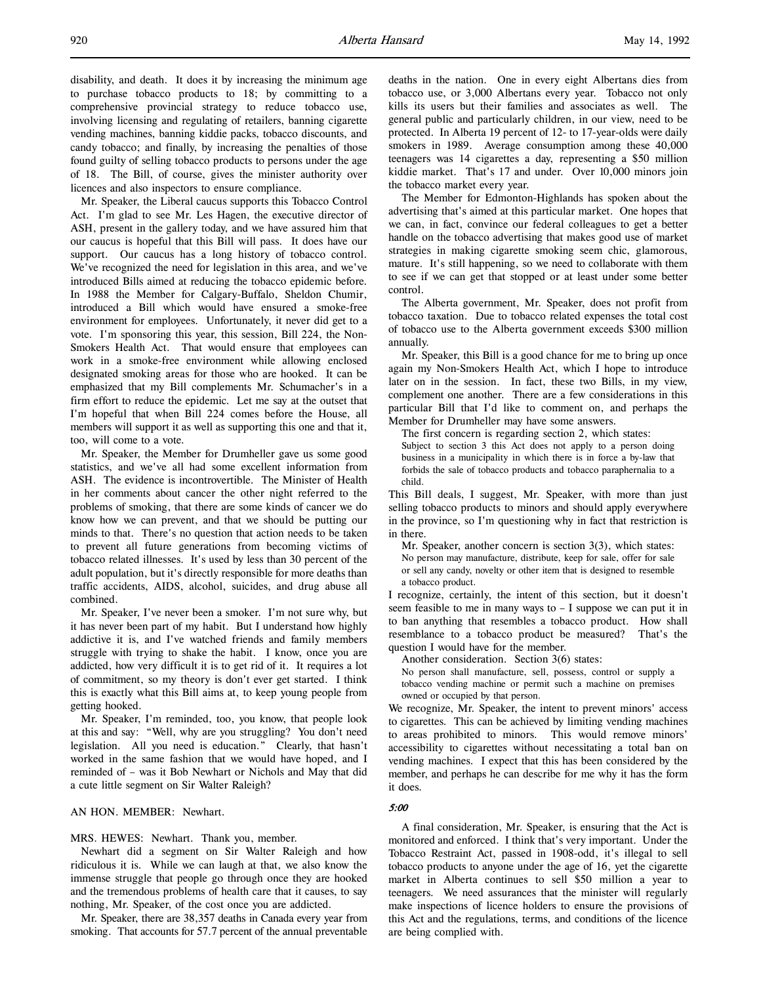Mr. Speaker, the Liberal caucus supports this Tobacco Control Act. I'm glad to see Mr. Les Hagen, the executive director of ASH, present in the gallery today, and we have assured him that our caucus is hopeful that this Bill will pass. It does have our support. Our caucus has a long history of tobacco control. We've recognized the need for legislation in this area, and we've introduced Bills aimed at reducing the tobacco epidemic before. In 1988 the Member for Calgary-Buffalo, Sheldon Chumir, introduced a Bill which would have ensured a smoke-free environment for employees. Unfortunately, it never did get to a vote. I'm sponsoring this year, this session, Bill 224, the Non-Smokers Health Act. That would ensure that employees can work in a smoke-free environment while allowing enclosed designated smoking areas for those who are hooked. It can be emphasized that my Bill complements Mr. Schumacher's in a firm effort to reduce the epidemic. Let me say at the outset that I'm hopeful that when Bill 224 comes before the House, all members will support it as well as supporting this one and that it, too, will come to a vote.

Mr. Speaker, the Member for Drumheller gave us some good statistics, and we've all had some excellent information from ASH. The evidence is incontrovertible. The Minister of Health in her comments about cancer the other night referred to the problems of smoking, that there are some kinds of cancer we do know how we can prevent, and that we should be putting our minds to that. There's no question that action needs to be taken to prevent all future generations from becoming victims of tobacco related illnesses. It's used by less than 30 percent of the adult population, but it's directly responsible for more deaths than traffic accidents, AIDS, alcohol, suicides, and drug abuse all combined.

Mr. Speaker, I've never been a smoker. I'm not sure why, but it has never been part of my habit. But I understand how highly addictive it is, and I've watched friends and family members struggle with trying to shake the habit. I know, once you are addicted, how very difficult it is to get rid of it. It requires a lot of commitment, so my theory is don't ever get started. I think this is exactly what this Bill aims at, to keep young people from getting hooked.

Mr. Speaker, I'm reminded, too, you know, that people look at this and say: "Well, why are you struggling? You don't need legislation. All you need is education." Clearly, that hasn't worked in the same fashion that we would have hoped, and I reminded of – was it Bob Newhart or Nichols and May that did a cute little segment on Sir Walter Raleigh?

# AN HON. MEMBER: Newhart.

### MRS. HEWES: Newhart. Thank you, member.

Newhart did a segment on Sir Walter Raleigh and how ridiculous it is. While we can laugh at that, we also know the immense struggle that people go through once they are hooked and the tremendous problems of health care that it causes, to say nothing, Mr. Speaker, of the cost once you are addicted.

Mr. Speaker, there are 38,357 deaths in Canada every year from smoking. That accounts for 57.7 percent of the annual preventable

deaths in the nation. One in every eight Albertans dies from tobacco use, or 3,000 Albertans every year. Tobacco not only kills its users but their families and associates as well. The general public and particularly children, in our view, need to be protected. In Alberta 19 percent of 12- to 17-year-olds were daily smokers in 1989. Average consumption among these 40,000 teenagers was 14 cigarettes a day, representing a \$50 million kiddie market. That's 17 and under. Over 10,000 minors join the tobacco market every year.

The Member for Edmonton-Highlands has spoken about the advertising that's aimed at this particular market. One hopes that we can, in fact, convince our federal colleagues to get a better handle on the tobacco advertising that makes good use of market strategies in making cigarette smoking seem chic, glamorous, mature. It's still happening, so we need to collaborate with them to see if we can get that stopped or at least under some better control.

The Alberta government, Mr. Speaker, does not profit from tobacco taxation. Due to tobacco related expenses the total cost of tobacco use to the Alberta government exceeds \$300 million annually.

Mr. Speaker, this Bill is a good chance for me to bring up once again my Non-Smokers Health Act, which I hope to introduce later on in the session. In fact, these two Bills, in my view, complement one another. There are a few considerations in this particular Bill that I'd like to comment on, and perhaps the Member for Drumheller may have some answers.

The first concern is regarding section 2, which states:

Subject to section 3 this Act does not apply to a person doing business in a municipality in which there is in force a by-law that forbids the sale of tobacco products and tobacco paraphernalia to a child.

This Bill deals, I suggest, Mr. Speaker, with more than just selling tobacco products to minors and should apply everywhere in the province, so I'm questioning why in fact that restriction is in there.

Mr. Speaker, another concern is section 3(3), which states: No person may manufacture, distribute, keep for sale, offer for sale or sell any candy, novelty or other item that is designed to resemble a tobacco product.

I recognize, certainly, the intent of this section, but it doesn't seem feasible to me in many ways to – I suppose we can put it in to ban anything that resembles a tobacco product. How shall resemblance to a tobacco product be measured? That's the question I would have for the member.

Another consideration. Section 3(6) states:

No person shall manufacture, sell, possess, control or supply a tobacco vending machine or permit such a machine on premises owned or occupied by that person.

We recognize, Mr. Speaker, the intent to prevent minors' access to cigarettes. This can be achieved by limiting vending machines to areas prohibited to minors. This would remove minors' accessibility to cigarettes without necessitating a total ban on vending machines. I expect that this has been considered by the member, and perhaps he can describe for me why it has the form it does.

### 5:00

A final consideration, Mr. Speaker, is ensuring that the Act is monitored and enforced. I think that's very important. Under the Tobacco Restraint Act, passed in 1908-odd, it's illegal to sell tobacco products to anyone under the age of 16, yet the cigarette market in Alberta continues to sell \$50 million a year to teenagers. We need assurances that the minister will regularly make inspections of licence holders to ensure the provisions of this Act and the regulations, terms, and conditions of the licence are being complied with.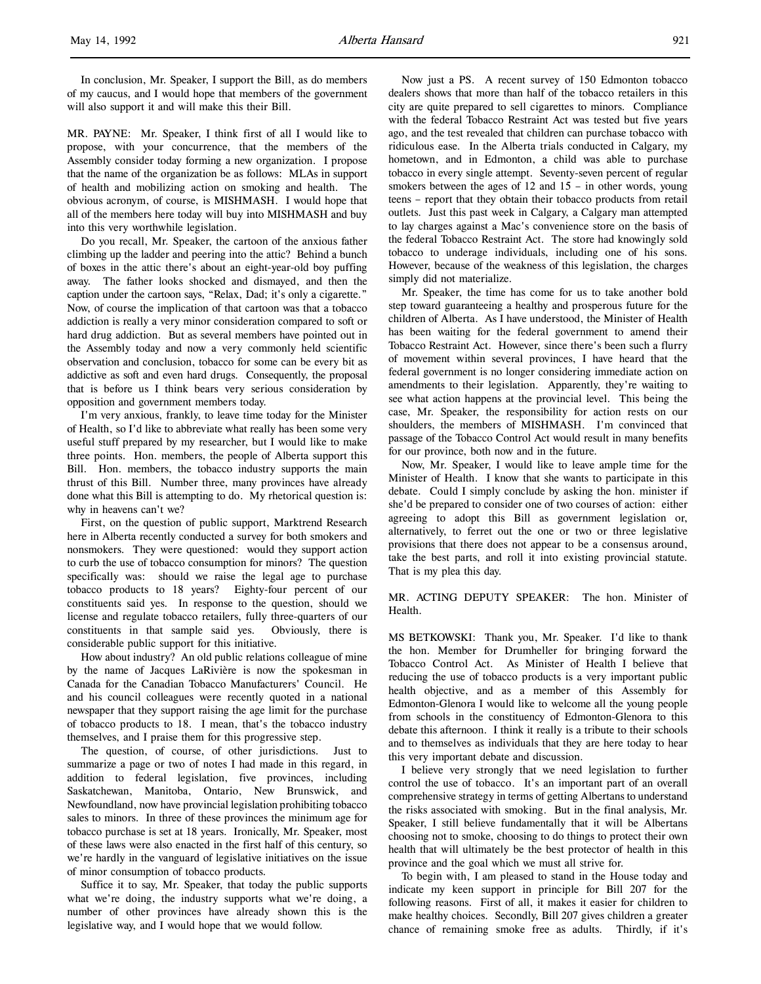l,

In conclusion, Mr. Speaker, I support the Bill, as do members of my caucus, and I would hope that members of the government will also support it and will make this their Bill.

MR. PAYNE: Mr. Speaker, I think first of all I would like to propose, with your concurrence, that the members of the Assembly consider today forming a new organization. I propose that the name of the organization be as follows: MLAs in support of health and mobilizing action on smoking and health. The obvious acronym, of course, is MISHMASH. I would hope that all of the members here today will buy into MISHMASH and buy into this very worthwhile legislation.

Do you recall, Mr. Speaker, the cartoon of the anxious father climbing up the ladder and peering into the attic? Behind a bunch of boxes in the attic there's about an eight-year-old boy puffing away. The father looks shocked and dismayed, and then the caption under the cartoon says, "Relax, Dad; it's only a cigarette." Now, of course the implication of that cartoon was that a tobacco addiction is really a very minor consideration compared to soft or hard drug addiction. But as several members have pointed out in the Assembly today and now a very commonly held scientific observation and conclusion, tobacco for some can be every bit as addictive as soft and even hard drugs. Consequently, the proposal that is before us I think bears very serious consideration by opposition and government members today.

I'm very anxious, frankly, to leave time today for the Minister of Health, so I'd like to abbreviate what really has been some very useful stuff prepared by my researcher, but I would like to make three points. Hon. members, the people of Alberta support this Bill. Hon. members, the tobacco industry supports the main thrust of this Bill. Number three, many provinces have already done what this Bill is attempting to do. My rhetorical question is: why in heavens can't we?

First, on the question of public support, Marktrend Research here in Alberta recently conducted a survey for both smokers and nonsmokers. They were questioned: would they support action to curb the use of tobacco consumption for minors? The question specifically was: should we raise the legal age to purchase tobacco products to 18 years? Eighty-four percent of our constituents said yes. In response to the question, should we license and regulate tobacco retailers, fully three-quarters of our constituents in that sample said yes. Obviously, there is considerable public support for this initiative.

How about industry? An old public relations colleague of mine by the name of Jacques LaRivière is now the spokesman in Canada for the Canadian Tobacco Manufacturers' Council. He and his council colleagues were recently quoted in a national newspaper that they support raising the age limit for the purchase of tobacco products to 18. I mean, that's the tobacco industry themselves, and I praise them for this progressive step.

The question, of course, of other jurisdictions. Just to summarize a page or two of notes I had made in this regard, in addition to federal legislation, five provinces, including Saskatchewan, Manitoba, Ontario, New Brunswick, and Newfoundland, now have provincial legislation prohibiting tobacco sales to minors. In three of these provinces the minimum age for tobacco purchase is set at 18 years. Ironically, Mr. Speaker, most of these laws were also enacted in the first half of this century, so we're hardly in the vanguard of legislative initiatives on the issue of minor consumption of tobacco products.

Suffice it to say, Mr. Speaker, that today the public supports what we're doing, the industry supports what we're doing, a number of other provinces have already shown this is the legislative way, and I would hope that we would follow.

Now just a PS. A recent survey of 150 Edmonton tobacco dealers shows that more than half of the tobacco retailers in this city are quite prepared to sell cigarettes to minors. Compliance with the federal Tobacco Restraint Act was tested but five years ago, and the test revealed that children can purchase tobacco with ridiculous ease. In the Alberta trials conducted in Calgary, my hometown, and in Edmonton, a child was able to purchase tobacco in every single attempt. Seventy-seven percent of regular smokers between the ages of 12 and 15 – in other words, young teens – report that they obtain their tobacco products from retail outlets. Just this past week in Calgary, a Calgary man attempted to lay charges against a Mac's convenience store on the basis of the federal Tobacco Restraint Act. The store had knowingly sold tobacco to underage individuals, including one of his sons. However, because of the weakness of this legislation, the charges simply did not materialize.

Mr. Speaker, the time has come for us to take another bold step toward guaranteeing a healthy and prosperous future for the children of Alberta. As I have understood, the Minister of Health has been waiting for the federal government to amend their Tobacco Restraint Act. However, since there's been such a flurry of movement within several provinces, I have heard that the federal government is no longer considering immediate action on amendments to their legislation. Apparently, they're waiting to see what action happens at the provincial level. This being the case, Mr. Speaker, the responsibility for action rests on our shoulders, the members of MISHMASH. I'm convinced that passage of the Tobacco Control Act would result in many benefits for our province, both now and in the future.

Now, Mr. Speaker, I would like to leave ample time for the Minister of Health. I know that she wants to participate in this debate. Could I simply conclude by asking the hon. minister if she'd be prepared to consider one of two courses of action: either agreeing to adopt this Bill as government legislation or, alternatively, to ferret out the one or two or three legislative provisions that there does not appear to be a consensus around, take the best parts, and roll it into existing provincial statute. That is my plea this day.

MR. ACTING DEPUTY SPEAKER: The hon. Minister of Health.

MS BETKOWSKI: Thank you, Mr. Speaker. I'd like to thank the hon. Member for Drumheller for bringing forward the Tobacco Control Act. As Minister of Health I believe that reducing the use of tobacco products is a very important public health objective, and as a member of this Assembly for Edmonton-Glenora I would like to welcome all the young people from schools in the constituency of Edmonton-Glenora to this debate this afternoon. I think it really is a tribute to their schools and to themselves as individuals that they are here today to hear this very important debate and discussion.

I believe very strongly that we need legislation to further control the use of tobacco. It's an important part of an overall comprehensive strategy in terms of getting Albertans to understand the risks associated with smoking. But in the final analysis, Mr. Speaker, I still believe fundamentally that it will be Albertans choosing not to smoke, choosing to do things to protect their own health that will ultimately be the best protector of health in this province and the goal which we must all strive for.

To begin with, I am pleased to stand in the House today and indicate my keen support in principle for Bill 207 for the following reasons. First of all, it makes it easier for children to make healthy choices. Secondly, Bill 207 gives children a greater chance of remaining smoke free as adults. Thirdly, if it's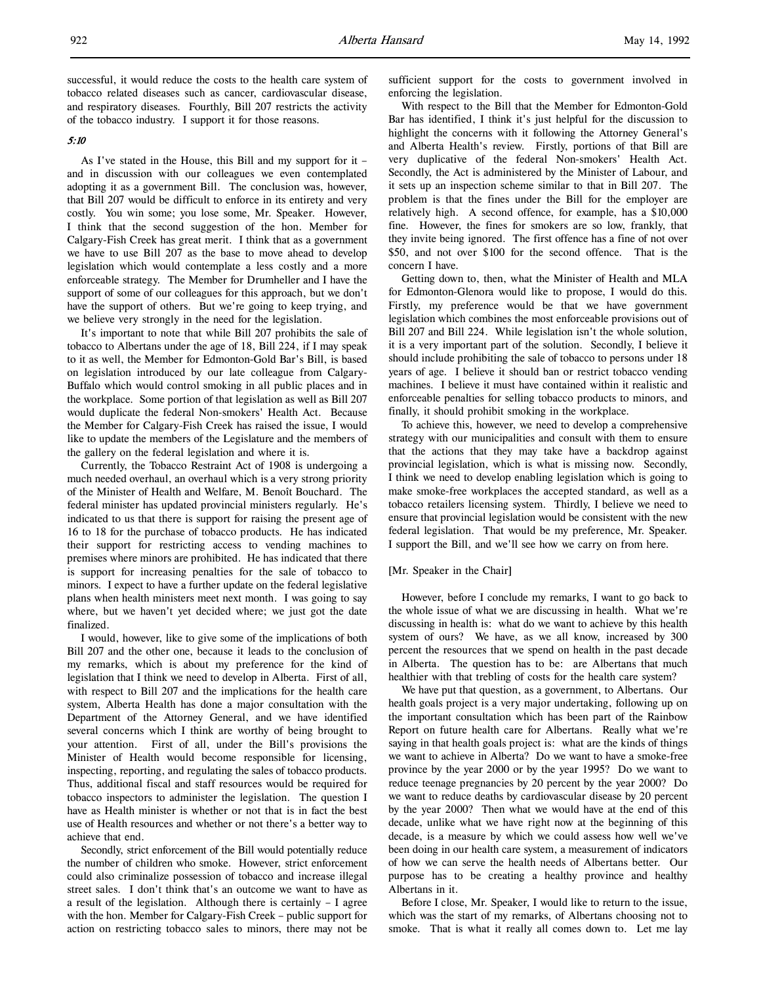successful, it would reduce the costs to the health care system of tobacco related diseases such as cancer, cardiovascular disease, and respiratory diseases. Fourthly, Bill 207 restricts the activity of the tobacco industry. I support it for those reasons.

### 5:10

As I've stated in the House, this Bill and my support for it – and in discussion with our colleagues we even contemplated adopting it as a government Bill. The conclusion was, however, that Bill 207 would be difficult to enforce in its entirety and very costly. You win some; you lose some, Mr. Speaker. However, I think that the second suggestion of the hon. Member for Calgary-Fish Creek has great merit. I think that as a government we have to use Bill 207 as the base to move ahead to develop legislation which would contemplate a less costly and a more enforceable strategy. The Member for Drumheller and I have the support of some of our colleagues for this approach, but we don't have the support of others. But we're going to keep trying, and we believe very strongly in the need for the legislation.

It's important to note that while Bill 207 prohibits the sale of tobacco to Albertans under the age of 18, Bill 224, if I may speak to it as well, the Member for Edmonton-Gold Bar's Bill, is based on legislation introduced by our late colleague from Calgary-Buffalo which would control smoking in all public places and in the workplace. Some portion of that legislation as well as Bill 207 would duplicate the federal Non-smokers' Health Act. Because the Member for Calgary-Fish Creek has raised the issue, I would like to update the members of the Legislature and the members of the gallery on the federal legislation and where it is.

Currently, the Tobacco Restraint Act of 1908 is undergoing a much needed overhaul, an overhaul which is a very strong priority of the Minister of Health and Welfare, M. Benoît Bouchard. The federal minister has updated provincial ministers regularly. He's indicated to us that there is support for raising the present age of 16 to 18 for the purchase of tobacco products. He has indicated their support for restricting access to vending machines to premises where minors are prohibited. He has indicated that there is support for increasing penalties for the sale of tobacco to minors. I expect to have a further update on the federal legislative plans when health ministers meet next month. I was going to say where, but we haven't yet decided where; we just got the date finalized.

I would, however, like to give some of the implications of both Bill 207 and the other one, because it leads to the conclusion of my remarks, which is about my preference for the kind of legislation that I think we need to develop in Alberta. First of all, with respect to Bill 207 and the implications for the health care system, Alberta Health has done a major consultation with the Department of the Attorney General, and we have identified several concerns which I think are worthy of being brought to your attention. First of all, under the Bill's provisions the Minister of Health would become responsible for licensing, inspecting, reporting, and regulating the sales of tobacco products. Thus, additional fiscal and staff resources would be required for tobacco inspectors to administer the legislation. The question I have as Health minister is whether or not that is in fact the best use of Health resources and whether or not there's a better way to achieve that end.

Secondly, strict enforcement of the Bill would potentially reduce the number of children who smoke. However, strict enforcement could also criminalize possession of tobacco and increase illegal street sales. I don't think that's an outcome we want to have as a result of the legislation. Although there is certainly – I agree with the hon. Member for Calgary-Fish Creek – public support for action on restricting tobacco sales to minors, there may not be sufficient support for the costs to government involved in enforcing the legislation.

With respect to the Bill that the Member for Edmonton-Gold Bar has identified, I think it's just helpful for the discussion to highlight the concerns with it following the Attorney General's and Alberta Health's review. Firstly, portions of that Bill are very duplicative of the federal Non-smokers' Health Act. Secondly, the Act is administered by the Minister of Labour, and it sets up an inspection scheme similar to that in Bill 207. The problem is that the fines under the Bill for the employer are relatively high. A second offence, for example, has a \$10,000 fine. However, the fines for smokers are so low, frankly, that they invite being ignored. The first offence has a fine of not over \$50, and not over \$100 for the second offence. That is the concern I have.

Getting down to, then, what the Minister of Health and MLA for Edmonton-Glenora would like to propose, I would do this. Firstly, my preference would be that we have government legislation which combines the most enforceable provisions out of Bill 207 and Bill 224. While legislation isn't the whole solution, it is a very important part of the solution. Secondly, I believe it should include prohibiting the sale of tobacco to persons under 18 years of age. I believe it should ban or restrict tobacco vending machines. I believe it must have contained within it realistic and enforceable penalties for selling tobacco products to minors, and finally, it should prohibit smoking in the workplace.

To achieve this, however, we need to develop a comprehensive strategy with our municipalities and consult with them to ensure that the actions that they may take have a backdrop against provincial legislation, which is what is missing now. Secondly, I think we need to develop enabling legislation which is going to make smoke-free workplaces the accepted standard, as well as a tobacco retailers licensing system. Thirdly, I believe we need to ensure that provincial legislation would be consistent with the new federal legislation. That would be my preference, Mr. Speaker. I support the Bill, and we'll see how we carry on from here.

### [Mr. Speaker in the Chair]

However, before I conclude my remarks, I want to go back to the whole issue of what we are discussing in health. What we're discussing in health is: what do we want to achieve by this health system of ours? We have, as we all know, increased by 300 percent the resources that we spend on health in the past decade in Alberta. The question has to be: are Albertans that much healthier with that trebling of costs for the health care system?

We have put that question, as a government, to Albertans. Our health goals project is a very major undertaking, following up on the important consultation which has been part of the Rainbow Report on future health care for Albertans. Really what we're saying in that health goals project is: what are the kinds of things we want to achieve in Alberta? Do we want to have a smoke-free province by the year 2000 or by the year 1995? Do we want to reduce teenage pregnancies by 20 percent by the year 2000? Do we want to reduce deaths by cardiovascular disease by 20 percent by the year 2000? Then what we would have at the end of this decade, unlike what we have right now at the beginning of this decade, is a measure by which we could assess how well we've been doing in our health care system, a measurement of indicators of how we can serve the health needs of Albertans better. Our purpose has to be creating a healthy province and healthy Albertans in it.

Before I close, Mr. Speaker, I would like to return to the issue, which was the start of my remarks, of Albertans choosing not to smoke. That is what it really all comes down to. Let me lay